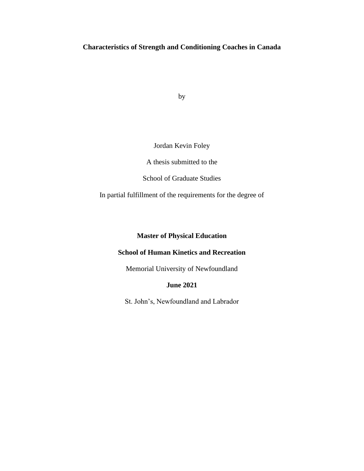# **Characteristics of Strength and Conditioning Coaches in Canada**

by

# Jordan Kevin Foley

A thesis submitted to the

School of Graduate Studies

In partial fulfillment of the requirements for the degree of

# **Master of Physical Education**

# **School of Human Kinetics and Recreation**

Memorial University of Newfoundland

# **June 2021**

St. John's, Newfoundland and Labrador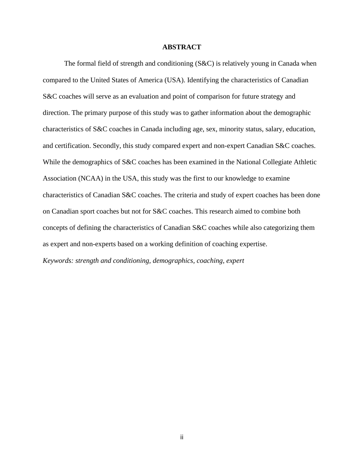### **ABSTRACT**

The formal field of strength and conditioning (S&C) is relatively young in Canada when compared to the United States of America (USA). Identifying the characteristics of Canadian S&C coaches will serve as an evaluation and point of comparison for future strategy and direction. The primary purpose of this study was to gather information about the demographic characteristics of S&C coaches in Canada including age, sex, minority status, salary, education, and certification. Secondly, this study compared expert and non-expert Canadian S&C coaches. While the demographics of S&C coaches has been examined in the National Collegiate Athletic Association (NCAA) in the USA, this study was the first to our knowledge to examine characteristics of Canadian S&C coaches. The criteria and study of expert coaches has been done on Canadian sport coaches but not for S&C coaches. This research aimed to combine both concepts of defining the characteristics of Canadian S&C coaches while also categorizing them as expert and non-experts based on a working definition of coaching expertise.

*Keywords: strength and conditioning, demographics, coaching, expert*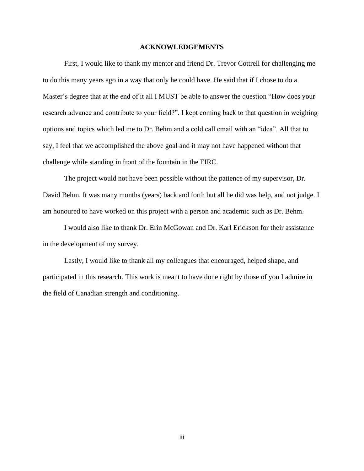### **ACKNOWLEDGEMENTS**

First, I would like to thank my mentor and friend Dr. Trevor Cottrell for challenging me to do this many years ago in a way that only he could have. He said that if I chose to do a Master's degree that at the end of it all I MUST be able to answer the question "How does your research advance and contribute to your field?". I kept coming back to that question in weighing options and topics which led me to Dr. Behm and a cold call email with an "idea". All that to say, I feel that we accomplished the above goal and it may not have happened without that challenge while standing in front of the fountain in the EIRC.

The project would not have been possible without the patience of my supervisor, Dr. David Behm. It was many months (years) back and forth but all he did was help, and not judge. I am honoured to have worked on this project with a person and academic such as Dr. Behm.

I would also like to thank Dr. Erin McGowan and Dr. Karl Erickson for their assistance in the development of my survey.

Lastly, I would like to thank all my colleagues that encouraged, helped shape, and participated in this research. This work is meant to have done right by those of you I admire in the field of Canadian strength and conditioning.

iii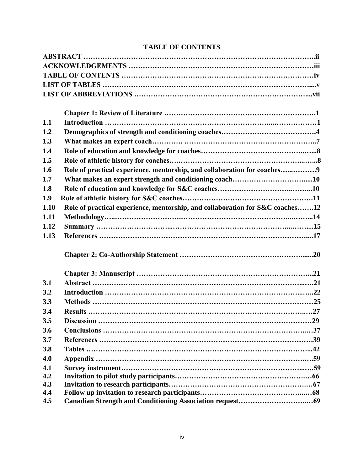# **TABLE OF CONTENTS**

| 1.1  |                                                                               |
|------|-------------------------------------------------------------------------------|
| 1.2  |                                                                               |
| 1.3  |                                                                               |
| 1.4  |                                                                               |
| 1.5  |                                                                               |
| 1.6  | Role of practical experience, mentorship, and collaboration for coaches9      |
| 1.7  |                                                                               |
| 1.8  |                                                                               |
| 1.9  |                                                                               |
| 1.10 | Role of practical experience, mentorship, and collaboration for S&C coaches12 |
| 1.11 |                                                                               |
| 1.12 |                                                                               |
| 1.13 |                                                                               |
|      |                                                                               |
|      |                                                                               |
| 3.1  |                                                                               |
| 3.2  |                                                                               |
| 3.3  |                                                                               |
| 3.4  |                                                                               |
| 3.5  |                                                                               |
| 3.6  |                                                                               |
| 3.7  |                                                                               |
| 3.8  |                                                                               |
| 4.0  |                                                                               |
| 4.1  |                                                                               |
| 4.2  |                                                                               |
| 4.3  |                                                                               |
| 4.4  |                                                                               |
| 4.5  |                                                                               |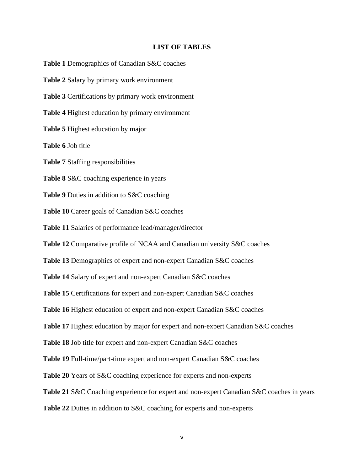### **LIST OF TABLES**

**Table 1** Demographics of Canadian S&C coaches

**Table 2** Salary by primary work environment

**Table 3** Certifications by primary work environment

**Table 4** Highest education by primary environment

**Table 5** Highest education by major

**Table 6** Job title

**Table 7** Staffing responsibilities

**Table 8** S&C coaching experience in years

**Table 9** Duties in addition to S&C coaching

**Table 10** Career goals of Canadian S&C coaches

**Table 11** Salaries of performance lead/manager/director

**Table 12** Comparative profile of NCAA and Canadian university S&C coaches

**Table 13** Demographics of expert and non-expert Canadian S&C coaches

**Table 14** Salary of expert and non-expert Canadian S&C coaches

**Table 15** Certifications for expert and non-expert Canadian S&C coaches

**Table 16** Highest education of expert and non-expert Canadian S&C coaches

**Table 17** Highest education by major for expert and non-expert Canadian S&C coaches

**Table 18** Job title for expert and non-expert Canadian S&C coaches

**Table 19** Full-time/part-time expert and non-expert Canadian S&C coaches

**Table 20** Years of S&C coaching experience for experts and non-experts

**Table 21** S&C Coaching experience for expert and non-expert Canadian S&C coaches in years

**Table 22** Duties in addition to S&C coaching for experts and non-experts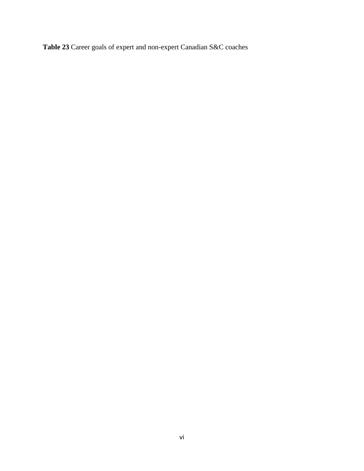**Table 23** Career goals of expert and non-expert Canadian S&C coaches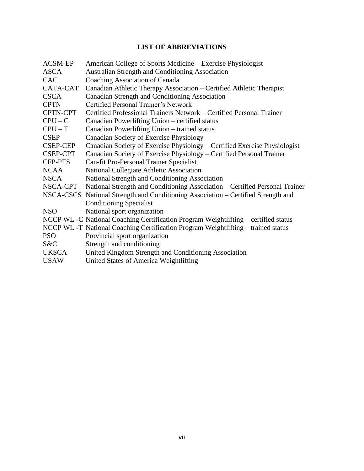# **LIST OF ABBREVIATIONS**

| <b>ACSM-EP</b>  | American College of Sports Medicine – Exercise Physiologist                         |
|-----------------|-------------------------------------------------------------------------------------|
| <b>ASCA</b>     | <b>Australian Strength and Conditioning Association</b>                             |
| <b>CAC</b>      | Coaching Association of Canada                                                      |
| CATA-CAT        | Canadian Athletic Therapy Association - Certified Athletic Therapist                |
| <b>CSCA</b>     | Canadian Strength and Conditioning Association                                      |
| <b>CPTN</b>     | Certified Personal Trainer's Network                                                |
| CPTN-CPT        | Certified Professional Trainers Network – Certified Personal Trainer                |
| $CPU - C$       | Canadian Powerlifting Union – certified status                                      |
| $CPU - T$       | Canadian Powerlifting Union – trained status                                        |
| <b>CSEP</b>     | Canadian Society of Exercise Physiology                                             |
| <b>CSEP-CEP</b> | Canadian Society of Exercise Physiology - Certified Exercise Physiologist           |
| <b>CSEP-CPT</b> | Canadian Society of Exercise Physiology - Certified Personal Trainer                |
| <b>CFP-PTS</b>  | Can-fit Pro-Personal Trainer Specialist                                             |
| <b>NCAA</b>     | National Collegiate Athletic Association                                            |
| <b>NSCA</b>     | National Strength and Conditioning Association                                      |
| NSCA-CPT        | National Strength and Conditioning Association – Certified Personal Trainer         |
|                 | NSCA-CSCS National Strength and Conditioning Association – Certified Strength and   |
|                 | <b>Conditioning Specialist</b>                                                      |
| NSO             | National sport organization                                                         |
|                 | NCCP WL -C National Coaching Certification Program Weightlifting – certified status |
|                 | NCCP WL -T National Coaching Certification Program Weightlifting – trained status   |
| <b>PSO</b>      | Provincial sport organization                                                       |
| S&C             | Strength and conditioning                                                           |
| <b>UKSCA</b>    | United Kingdom Strength and Conditioning Association                                |
| <b>USAW</b>     | United States of America Weightlifting                                              |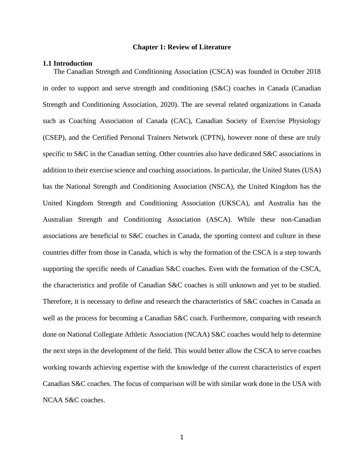#### **Chapter 1: Review of Literature**

#### **1.1 Introduction**

The Canadian Strength and Conditioning Association (CSCA) was founded in October 2018 in order to support and serve strength and conditioning (S&C) coaches in Canada (Canadian Strength and Conditioning Association, 2020). The are several related organizations in Canada such as Coaching Association of Canada (CAC), Canadian Society of Exercise Physiology (CSEP), and the Certified Personal Trainers Network (CPTN), however none of these are truly specific to S&C in the Canadian setting. Other countries also have dedicated S&C associations in addition to their exercise science and coaching associations. In particular, the United States (USA) has the National Strength and Conditioning Association (NSCA), the United Kingdom has the United Kingdom Strength and Conditioning Association (UKSCA), and Australia has the Australian Strength and Conditioning Association (ASCA). While these non-Canadian associations are beneficial to S&C coaches in Canada, the sporting context and culture in these countries differ from those in Canada, which is why the formation of the CSCA is a step towards supporting the specific needs of Canadian S&C coaches. Even with the formation of the CSCA, the characteristics and profile of Canadian S&C coaches is still unknown and yet to be studied. Therefore, it is necessary to define and research the characteristics of S&C coaches in Canada as well as the process for becoming a Canadian S&C coach. Furthermore, comparing with research done on National Collegiate Athletic Association (NCAA) S&C coaches would help to determine the next steps in the development of the field. This would better allow the CSCA to serve coaches working towards achieving expertise with the knowledge of the current characteristics of expert Canadian S&C coaches. The focus of comparison will be with similar work done in the USA with NCAA S&C coaches.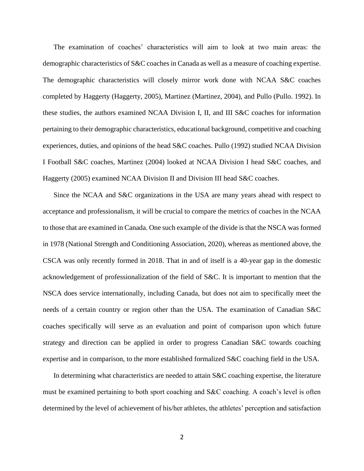The examination of coaches' characteristics will aim to look at two main areas: the demographic characteristics of S&C coaches in Canada as well as a measure of coaching expertise. The demographic characteristics will closely mirror work done with NCAA S&C coaches completed by Haggerty (Haggerty, 2005), Martinez (Martinez, 2004), and Pullo (Pullo. 1992). In these studies, the authors examined NCAA Division I, II, and III S&C coaches for information pertaining to their demographic characteristics, educational background, competitive and coaching experiences, duties, and opinions of the head S&C coaches. Pullo (1992) studied NCAA Division I Football S&C coaches, Martinez (2004) looked at NCAA Division I head S&C coaches, and Haggerty (2005) examined NCAA Division II and Division III head S&C coaches.

Since the NCAA and S&C organizations in the USA are many years ahead with respect to acceptance and professionalism, it will be crucial to compare the metrics of coaches in the NCAA to those that are examined in Canada. One such example of the divide is that the NSCA was formed in 1978 (National Strength and Conditioning Association, 2020), whereas as mentioned above, the CSCA was only recently formed in 2018. That in and of itself is a 40-year gap in the domestic acknowledgement of professionalization of the field of S&C. It is important to mention that the NSCA does service internationally, including Canada, but does not aim to specifically meet the needs of a certain country or region other than the USA. The examination of Canadian S&C coaches specifically will serve as an evaluation and point of comparison upon which future strategy and direction can be applied in order to progress Canadian S&C towards coaching expertise and in comparison, to the more established formalized S&C coaching field in the USA.

In determining what characteristics are needed to attain S&C coaching expertise, the literature must be examined pertaining to both sport coaching and S&C coaching. A coach's level is often determined by the level of achievement of his/her athletes, the athletes' perception and satisfaction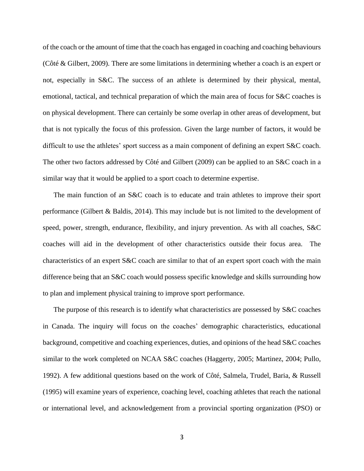of the coach or the amount of time that the coach has engaged in coaching and coaching behaviours [\(Côté](http://refworks.scholarsportal.info.library.sheridanc.on.ca/refworks2/default.aspx?r=references%7CMainLayout::init) & Gilbert, 2009). There are some limitations in determining whether a coach is an expert or not, especially in S&C. The success of an athlete is determined by their physical, mental, emotional, tactical, and technical preparation of which the main area of focus for S&C coaches is on physical development. There can certainly be some overlap in other areas of development, but that is not typically the focus of this profession. Given the large number of factors, it would be difficult to use the athletes' sport success as a main component of defining an expert S&C coach. The other two factors addressed by [Côté](http://refworks.scholarsportal.info.library.sheridanc.on.ca/refworks2/default.aspx?r=references%7CMainLayout::init) and Gilbert (2009) can be applied to an S&C coach in a similar way that it would be applied to a sport coach to determine expertise.

The main function of an S&C coach is to educate and train athletes to improve their sport performance (Gilbert & Baldis, 2014). This may include but is not limited to the development of speed, power, strength, endurance, flexibility, and injury prevention. As with all coaches, S&C coaches will aid in the development of other characteristics outside their focus area. The characteristics of an expert S&C coach are similar to that of an expert sport coach with the main difference being that an S&C coach would possess specific knowledge and skills surrounding how to plan and implement physical training to improve sport performance.

The purpose of this research is to identify what characteristics are possessed by S&C coaches in Canada. The inquiry will focus on the coaches' demographic characteristics, educational background, competitive and coaching experiences, duties, and opinions of the head S&C coaches similar to the work completed on NCAA S&C coaches (Haggerty, 2005; Martinez, 2004; Pullo, 1992). A few additional questions based on the work of Côté, Salmela, Trudel, Baria, & Russell (1995) will examine years of experience, coaching level, coaching athletes that reach the national or international level, and acknowledgement from a provincial sporting organization (PSO) or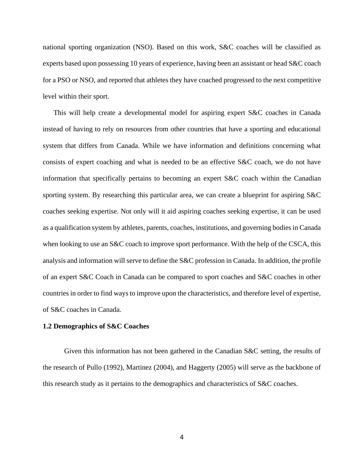national sporting organization (NSO). Based on this work, S&C coaches will be classified as experts based upon possessing 10 years of experience, having been an assistant or head S&C coach for a PSO or NSO, and reported that athletes they have coached progressed to the next competitive level within their sport.

This will help create a developmental model for aspiring expert S&C coaches in Canada instead of having to rely on resources from other countries that have a sporting and educational system that differs from Canada. While we have information and definitions concerning what consists of expert coaching and what is needed to be an effective S&C coach, we do not have information that specifically pertains to becoming an expert S&C coach within the Canadian sporting system. By researching this particular area, we can create a blueprint for aspiring S&C coaches seeking expertise. Not only will it aid aspiring coaches seeking expertise, it can be used as a qualification system by athletes, parents, coaches, institutions, and governing bodies in Canada when looking to use an S&C coach to improve sport performance. With the help of the CSCA, this analysis and information will serve to define the S&C profession in Canada. In addition, the profile of an expert S&C Coach in Canada can be compared to sport coaches and S&C coaches in other countries in order to find ways to improve upon the characteristics, and therefore level of expertise, of S&C coaches in Canada.

#### **1.2 Demographics of S&C Coaches**

Given this information has not been gathered in the Canadian S&C setting, the results of the research of Pullo (1992), Martinez (2004), and Haggerty (2005) will serve as the backbone of this research study as it pertains to the demographics and characteristics of S&C coaches.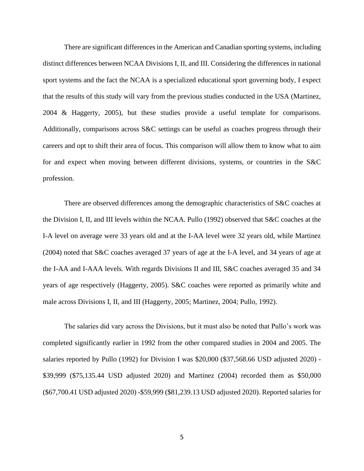There are significant differences in the American and Canadian sporting systems, including distinct differences between NCAA Divisions I, II, and III. Considering the differences in national sport systems and the fact the NCAA is a specialized educational sport governing body, I expect that the results of this study will vary from the previous studies conducted in the USA (Martinez, 2004 & Haggerty, 2005), but these studies provide a useful template for comparisons. Additionally, comparisons across S&C settings can be useful as coaches progress through their careers and opt to shift their area of focus. This comparison will allow them to know what to aim for and expect when moving between different divisions, systems, or countries in the S&C profession.

There are observed differences among the demographic characteristics of S&C coaches at the Division I, II, and III levels within the NCAA. Pullo (1992) observed that S&C coaches at the I-A level on average were 33 years old and at the I-AA level were 32 years old, while Martinez (2004) noted that S&C coaches averaged 37 years of age at the I-A level, and 34 years of age at the I-AA and I-AAA levels. With regards Divisions II and III, S&C coaches averaged 35 and 34 years of age respectively (Haggerty, 2005). S&C coaches were reported as primarily white and male across Divisions I, II, and III (Haggerty, 2005; Martinez, 2004; Pullo, 1992).

The salaries did vary across the Divisions, but it must also be noted that Pullo's work was completed significantly earlier in 1992 from the other compared studies in 2004 and 2005. The salaries reported by Pullo (1992) for Division I was \$20,000 (\$37,568.66 USD adjusted 2020) - \$39,999 (\$75,135.44 USD adjusted 2020) and Martinez (2004) recorded them as \$50,000 (\$67,700.41 USD adjusted 2020) -\$59,999 (\$81,239.13 USD adjusted 2020). Reported salaries for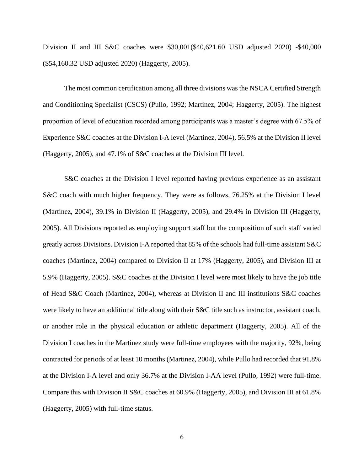Division II and III S&C coaches were \$30,001(\$40,621.60 USD adjusted 2020) -\$40,000 (\$54,160.32 USD adjusted 2020) (Haggerty, 2005).

The most common certification among all three divisions was the NSCA Certified Strength and Conditioning Specialist (CSCS) (Pullo, 1992; Martinez, 2004; Haggerty, 2005). The highest proportion of level of education recorded among participants was a master's degree with 67.5% of Experience S&C coaches at the Division I-A level (Martinez, 2004), 56.5% at the Division II level (Haggerty, 2005), and 47.1% of S&C coaches at the Division III level.

S&C coaches at the Division I level reported having previous experience as an assistant S&C coach with much higher frequency. They were as follows, 76.25% at the Division I level (Martinez, 2004), 39.1% in Division II (Haggerty, 2005), and 29.4% in Division III (Haggerty, 2005). All Divisions reported as employing support staff but the composition of such staff varied greatly across Divisions. Division I-A reported that 85% of the schools had full-time assistant S&C coaches (Martinez, 2004) compared to Division II at 17% (Haggerty, 2005), and Division III at 5.9% (Haggerty, 2005). S&C coaches at the Division I level were most likely to have the job title of Head S&C Coach (Martinez, 2004), whereas at Division II and III institutions S&C coaches were likely to have an additional title along with their S&C title such as instructor, assistant coach, or another role in the physical education or athletic department (Haggerty, 2005). All of the Division I coaches in the Martinez study were full-time employees with the majority, 92%, being contracted for periods of at least 10 months (Martinez, 2004), while Pullo had recorded that 91.8% at the Division I-A level and only 36.7% at the Division I-AA level (Pullo, 1992) were full-time. Compare this with Division II S&C coaches at 60.9% (Haggerty, 2005), and Division III at 61.8% (Haggerty, 2005) with full-time status.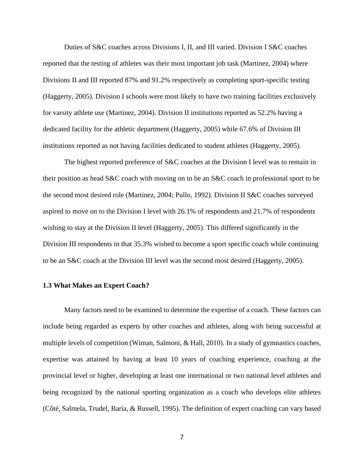Duties of S&C coaches across Divisions I, II, and III varied. Division I S&C coaches reported that the testing of athletes was their most important job task (Martinez, 2004) where Divisions II and III reported 87% and 91.2% respectively as completing sport-specific testing (Haggerty, 2005). Division I schools were most likely to have two training facilities exclusively for varsity athlete use (Martinez, 2004). Division II institutions reported as 52.2% having a dedicated facility for the athletic department (Haggerty, 2005) while 67.6% of Division III institutions reported as not having facilities dedicated to student athletes (Haggerty, 2005).

The highest reported preference of S&C coaches at the Division I level was to remain in their position as head S&C coach with moving on to be an S&C coach in professional sport to be the second most desired role (Martinez, 2004; Pullo, 1992). Division II S&C coaches surveyed aspired to move on to the Division I level with 26.1% of respondents and 21.7% of respondents wishing to stay at the Division II level (Haggerty, 2005). This differed significantly in the Division III respondents in that 35.3% wished to become a sport specific coach while continuing to be an S&C coach at the Division III level was the second most desired (Haggerty, 2005).

#### **1.3 What Makes an Expert Coach?**

Many factors need to be examined to determine the expertise of a coach. These factors can include being regarded as experts by other coaches and athletes, along with being successful at multiple levels of competition (Wiman, Salmoni, & Hall, 2010). In a study of gymnastics coaches, expertise was attained by having at least 10 years of coaching experience, coaching at the provincial level or higher, developing at least one international or two national level athletes and being recognized by the national sporting organization as a coach who develops elite athletes (Côté, Salmela, Trudel, Baria, & Russell, 1995). The definition of expert coaching can vary based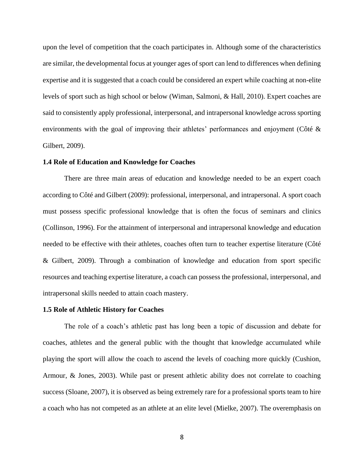upon the level of competition that the coach participates in. Although some of the characteristics are similar, the developmental focus at younger ages of sport can lend to differences when defining expertise and it is suggested that a coach could be considered an expert while coaching at non-elite levels of sport such as high school or below (Wiman, Salmoni, & Hall, 2010). Expert coaches are said to consistently apply professional, interpersonal, and intrapersonal knowledge across sporting environments with the goal of improving their athletes' performances and enjoyment [\(Côté](http://refworks.scholarsportal.info.library.sheridanc.on.ca/refworks2/default.aspx?r=references%7CMainLayout::init) & Gilbert, 2009).

### **1.4 Role of Education and Knowledge for Coaches**

There are three main areas of education and knowledge needed to be an expert coach according to [Côté](http://refworks.scholarsportal.info.library.sheridanc.on.ca/refworks2/default.aspx?r=references%7CMainLayout::init) and Gilbert (2009): professional, interpersonal, and intrapersonal. A sport coach must possess specific professional knowledge that is often the focus of seminars and clinics (Collinson, 1996). For the attainment of interpersonal and intrapersonal knowledge and education needed to be effective with their athletes, coaches often turn to teacher expertise literature [\(Côté](http://refworks.scholarsportal.info.library.sheridanc.on.ca/refworks2/default.aspx?r=references%7CMainLayout::init) & Gilbert, 2009). Through a combination of knowledge and education from sport specific resources and teaching expertise literature, a coach can possess the professional, interpersonal, and intrapersonal skills needed to attain coach mastery.

### **1.5 Role of Athletic History for Coaches**

The role of a coach's athletic past has long been a topic of discussion and debate for coaches, athletes and the general public with the thought that knowledge accumulated while playing the sport will allow the coach to ascend the levels of coaching more quickly (Cushion, Armour, & Jones, 2003). While past or present athletic ability does not correlate to coaching success (Sloane, 2007), it is observed as being extremely rare for a professional sports team to hire a coach who has not competed as an athlete at an elite level (Mielke, 2007). The overemphasis on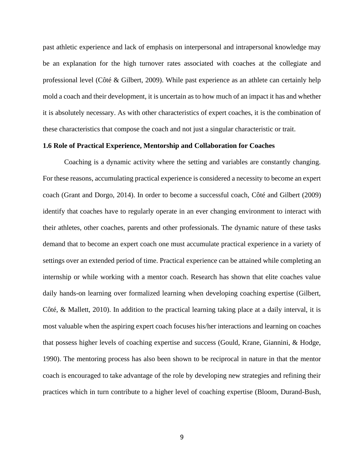past athletic experience and lack of emphasis on interpersonal and intrapersonal knowledge may be an explanation for the high turnover rates associated with coaches at the collegiate and professional level [\(Côté](http://refworks.scholarsportal.info.library.sheridanc.on.ca/refworks2/default.aspx?r=references%7CMainLayout::init) & Gilbert, 2009). While past experience as an athlete can certainly help mold a coach and their development, it is uncertain as to how much of an impact it has and whether it is absolutely necessary. As with other characteristics of expert coaches, it is the combination of these characteristics that compose the coach and not just a singular characteristic or trait.

### **1.6 Role of Practical Experience, Mentorship and Collaboration for Coaches**

Coaching is a dynamic activity where the setting and variables are constantly changing. For these reasons, accumulating practical experience is considered a necessity to become an expert coach (Grant and Dorgo, 2014). In order to become a successful coach, [Côté](http://refworks.scholarsportal.info.library.sheridanc.on.ca/refworks2/default.aspx?r=references%7CMainLayout::init) and Gilbert (2009) identify that coaches have to regularly operate in an ever changing environment to interact with their athletes, other coaches, parents and other professionals. The dynamic nature of these tasks demand that to become an expert coach one must accumulate practical experience in a variety of settings over an extended period of time. Practical experience can be attained while completing an internship or while working with a mentor coach. Research has shown that elite coaches value daily hands-on learning over formalized learning when developing coaching expertise (Gilbert, [Côté,](http://refworks.scholarsportal.info.library.sheridanc.on.ca/refworks2/default.aspx?r=references%7CMainLayout::init) & Mallett, 2010). In addition to the practical learning taking place at a daily interval, it is most valuable when the aspiring expert coach focuses his/her interactions and learning on coaches that possess higher levels of coaching expertise and success (Gould, Krane, Giannini, & Hodge, 1990). The mentoring process has also been shown to be reciprocal in nature in that the mentor coach is encouraged to take advantage of the role by developing new strategies and refining their practices which in turn contribute to a higher level of coaching expertise (Bloom, Durand-Bush,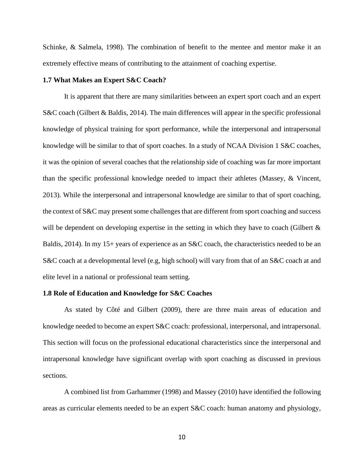Schinke, & Salmela, 1998). The combination of benefit to the mentee and mentor make it an extremely effective means of contributing to the attainment of coaching expertise.

#### **1.7 What Makes an Expert S&C Coach?**

It is apparent that there are many similarities between an expert sport coach and an expert S&C coach (Gilbert & Baldis, 2014). The main differences will appear in the specific professional knowledge of physical training for sport performance, while the interpersonal and intrapersonal knowledge will be similar to that of sport coaches. In a study of NCAA Division 1 S&C coaches, it was the opinion of several coaches that the relationship side of coaching was far more important than the specific professional knowledge needed to impact their athletes (Massey, & Vincent, 2013). While the interpersonal and intrapersonal knowledge are similar to that of sport coaching, the context of S&C may present some challenges that are different from sport coaching and success will be dependent on developing expertise in the setting in which they have to coach (Gilbert  $\&$ Baldis, 2014). In my 15+ years of experience as an S&C coach, the characteristics needed to be an S&C coach at a developmental level (e.g, high school) will vary from that of an S&C coach at and elite level in a national or professional team setting.

#### **1.8 Role of Education and Knowledge for S&C Coaches**

As stated by [Côté](http://refworks.scholarsportal.info.library.sheridanc.on.ca/refworks2/default.aspx?r=references%7CMainLayout::init) and Gilbert (2009), there are three main areas of education and knowledge needed to become an expert S&C coach: professional, interpersonal, and intrapersonal. This section will focus on the professional educational characteristics since the interpersonal and intrapersonal knowledge have significant overlap with sport coaching as discussed in previous sections.

A combined list from Garhammer (1998) and Massey (2010) have identified the following areas as curricular elements needed to be an expert S&C coach: human anatomy and physiology,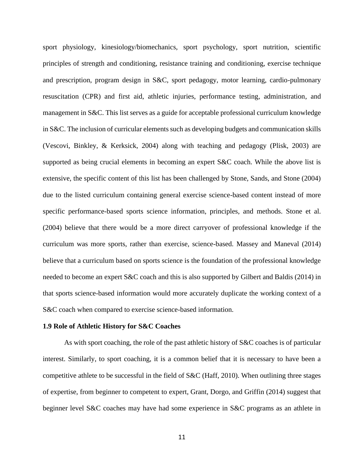sport physiology, kinesiology/biomechanics, sport psychology, sport nutrition, scientific principles of strength and conditioning, resistance training and conditioning, exercise technique and prescription, program design in S&C, sport pedagogy, motor learning, cardio-pulmonary resuscitation (CPR) and first aid, athletic injuries, performance testing, administration, and management in S&C. This list serves as a guide for acceptable professional curriculum knowledge in S&C. The inclusion of curricular elements such as developing budgets and communication skills (Vescovi, Binkley, & Kerksick, 2004) along with teaching and pedagogy (Plisk, 2003) are supported as being crucial elements in becoming an expert S&C coach. While the above list is extensive, the specific content of this list has been challenged by Stone, Sands, and Stone (2004) due to the listed curriculum containing general exercise science-based content instead of more specific performance-based sports science information, principles, and methods. Stone et al. (2004) believe that there would be a more direct carryover of professional knowledge if the curriculum was more sports, rather than exercise, science-based. Massey and Maneval (2014) believe that a curriculum based on sports science is the foundation of the professional knowledge needed to become an expert S&C coach and this is also supported by Gilbert and Baldis (2014) in that sports science-based information would more accurately duplicate the working context of a S&C coach when compared to exercise science-based information.

#### **1.9 Role of Athletic History for S&C Coaches**

As with sport coaching, the role of the past athletic history of S&C coaches is of particular interest. Similarly, to sport coaching, it is a common belief that it is necessary to have been a competitive athlete to be successful in the field of S&C (Haff, 2010). When outlining three stages of expertise, from beginner to competent to expert, Grant, Dorgo, and Griffin (2014) suggest that beginner level S&C coaches may have had some experience in S&C programs as an athlete in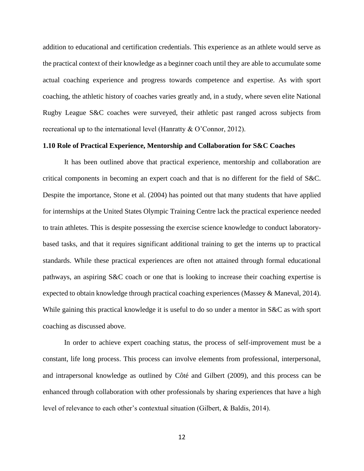addition to educational and certification credentials. This experience as an athlete would serve as the practical context of their knowledge as a beginner coach until they are able to accumulate some actual coaching experience and progress towards competence and expertise. As with sport coaching, the athletic history of coaches varies greatly and, in a study, where seven elite National Rugby League S&C coaches were surveyed, their athletic past ranged across subjects from recreational up to the international level (Hanratty & O'Connor, 2012).

### **1.10 Role of Practical Experience, Mentorship and Collaboration for S&C Coaches**

It has been outlined above that practical experience, mentorship and collaboration are critical components in becoming an expert coach and that is no different for the field of S&C. Despite the importance, Stone et al. (2004) has pointed out that many students that have applied for internships at the United States Olympic Training Centre lack the practical experience needed to train athletes. This is despite possessing the exercise science knowledge to conduct laboratorybased tasks, and that it requires significant additional training to get the interns up to practical standards. While these practical experiences are often not attained through formal educational pathways, an aspiring S&C coach or one that is looking to increase their coaching expertise is expected to obtain knowledge through practical coaching experiences (Massey & Maneval, 2014). While gaining this practical knowledge it is useful to do so under a mentor in S&C as with sport coaching as discussed above.

In order to achieve expert coaching status, the process of self-improvement must be a constant, life long process. This process can involve elements from professional, interpersonal, and intrapersonal knowledge as outlined by [Côté](http://refworks.scholarsportal.info.library.sheridanc.on.ca/refworks2/default.aspx?r=references%7CMainLayout::init) and Gilbert (2009), and this process can be enhanced through collaboration with other professionals by sharing experiences that have a high level of relevance to each other's contextual situation (Gilbert, & Baldis, 2014).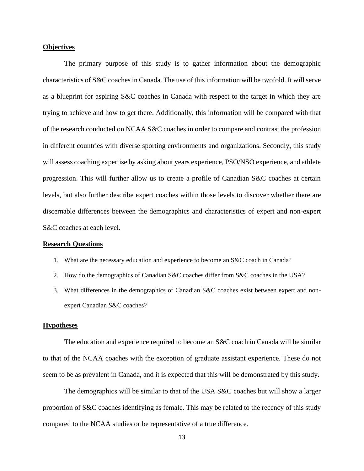### **Objectives**

The primary purpose of this study is to gather information about the demographic characteristics of S&C coaches in Canada. The use of this information will be twofold. It will serve as a blueprint for aspiring S&C coaches in Canada with respect to the target in which they are trying to achieve and how to get there. Additionally, this information will be compared with that of the research conducted on NCAA S&C coaches in order to compare and contrast the profession in different countries with diverse sporting environments and organizations. Secondly, this study will assess coaching expertise by asking about years experience, PSO/NSO experience, and athlete progression. This will further allow us to create a profile of Canadian S&C coaches at certain levels, but also further describe expert coaches within those levels to discover whether there are discernable differences between the demographics and characteristics of expert and non-expert S&C coaches at each level.

#### **Research Questions**

- 1. What are the necessary education and experience to become an S&C coach in Canada?
- 2. How do the demographics of Canadian S&C coaches differ from S&C coaches in the USA?
- 3. What differences in the demographics of Canadian S&C coaches exist between expert and nonexpert Canadian S&C coaches?

### **Hypotheses**

The education and experience required to become an S&C coach in Canada will be similar to that of the NCAA coaches with the exception of graduate assistant experience. These do not seem to be as prevalent in Canada, and it is expected that this will be demonstrated by this study.

The demographics will be similar to that of the USA S&C coaches but will show a larger proportion of S&C coaches identifying as female. This may be related to the recency of this study compared to the NCAA studies or be representative of a true difference.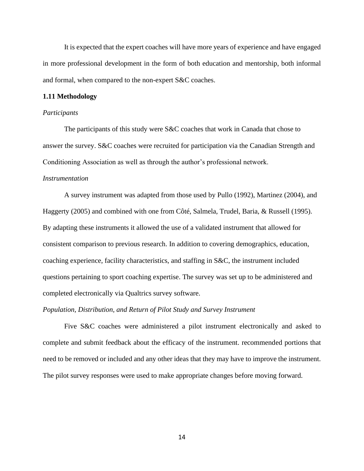It is expected that the expert coaches will have more years of experience and have engaged in more professional development in the form of both education and mentorship, both informal and formal, when compared to the non-expert S&C coaches.

#### **1.11 Methodology**

#### *Participants*

The participants of this study were S&C coaches that work in Canada that chose to answer the survey. S&C coaches were recruited for participation via the Canadian Strength and Conditioning Association as well as through the author's professional network.

#### *Instrumentation*

A survey instrument was adapted from those used by Pullo (1992), Martinez (2004), and Haggerty (2005) and combined with one from Côté, Salmela, Trudel, Baria, & Russell (1995). By adapting these instruments it allowed the use of a validated instrument that allowed for consistent comparison to previous research. In addition to covering demographics, education, coaching experience, facility characteristics, and staffing in S&C, the instrument included questions pertaining to sport coaching expertise. The survey was set up to be administered and completed electronically via Qualtrics survey software.

### *Population, Distribution, and Return of Pilot Study and Survey Instrument*

Five S&C coaches were administered a pilot instrument electronically and asked to complete and submit feedback about the efficacy of the instrument. recommended portions that need to be removed or included and any other ideas that they may have to improve the instrument. The pilot survey responses were used to make appropriate changes before moving forward.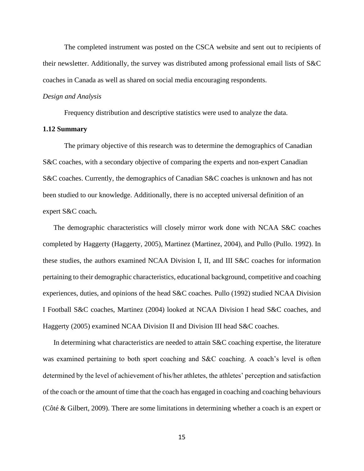The completed instrument was posted on the CSCA website and sent out to recipients of their newsletter. Additionally, the survey was distributed among professional email lists of S&C coaches in Canada as well as shared on social media encouraging respondents.

### *Design and Analysis*

Frequency distribution and descriptive statistics were used to analyze the data.

### **1.12 Summary**

The primary objective of this research was to determine the demographics of Canadian S&C coaches, with a secondary objective of comparing the experts and non-expert Canadian S&C coaches. Currently, the demographics of Canadian S&C coaches is unknown and has not been studied to our knowledge. Additionally, there is no accepted universal definition of an expert S&C coach**.** 

The demographic characteristics will closely mirror work done with NCAA S&C coaches completed by Haggerty (Haggerty, 2005), Martinez (Martinez, 2004), and Pullo (Pullo. 1992). In these studies, the authors examined NCAA Division I, II, and III S&C coaches for information pertaining to their demographic characteristics, educational background, competitive and coaching experiences, duties, and opinions of the head S&C coaches. Pullo (1992) studied NCAA Division I Football S&C coaches, Martinez (2004) looked at NCAA Division I head S&C coaches, and Haggerty (2005) examined NCAA Division II and Division III head S&C coaches.

In determining what characteristics are needed to attain S&C coaching expertise, the literature was examined pertaining to both sport coaching and S&C coaching. A coach's level is often determined by the level of achievement of his/her athletes, the athletes' perception and satisfaction of the coach or the amount of time that the coach has engaged in coaching and coaching behaviours [\(Côté](http://refworks.scholarsportal.info.library.sheridanc.on.ca/refworks2/default.aspx?r=references%7CMainLayout::init) & Gilbert, 2009). There are some limitations in determining whether a coach is an expert or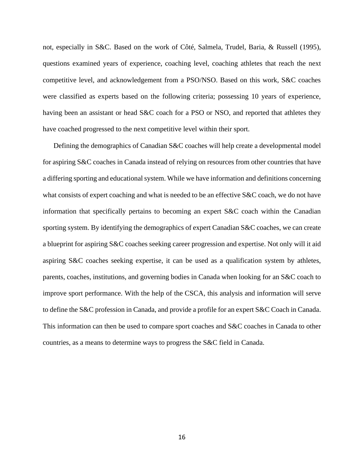not, especially in S&C. Based on the work of Côté, Salmela, Trudel, Baria, & Russell (1995), questions examined years of experience, coaching level, coaching athletes that reach the next competitive level, and acknowledgement from a PSO/NSO. Based on this work, S&C coaches were classified as experts based on the following criteria; possessing 10 years of experience, having been an assistant or head S&C coach for a PSO or NSO, and reported that athletes they have coached progressed to the next competitive level within their sport.

Defining the demographics of Canadian S&C coaches will help create a developmental model for aspiring S&C coaches in Canada instead of relying on resources from other countries that have a differing sporting and educational system. While we have information and definitions concerning what consists of expert coaching and what is needed to be an effective S&C coach, we do not have information that specifically pertains to becoming an expert S&C coach within the Canadian sporting system. By identifying the demographics of expert Canadian S&C coaches, we can create a blueprint for aspiring S&C coaches seeking career progression and expertise. Not only will it aid aspiring S&C coaches seeking expertise, it can be used as a qualification system by athletes, parents, coaches, institutions, and governing bodies in Canada when looking for an S&C coach to improve sport performance. With the help of the CSCA, this analysis and information will serve to define the S&C profession in Canada, and provide a profile for an expert S&C Coach in Canada. This information can then be used to compare sport coaches and S&C coaches in Canada to other countries, as a means to determine ways to progress the S&C field in Canada.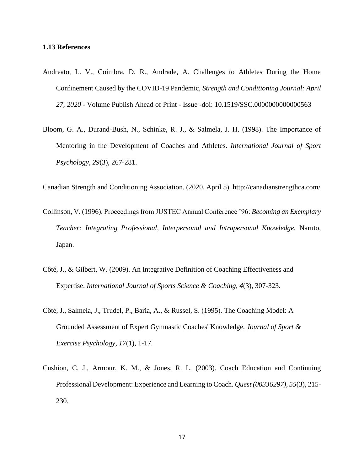### **1.13 References**

- Andreato, L. V., Coimbra, D. R., Andrade, A. Challenges to Athletes During the Home Confinement Caused by the COVID-19 Pandemic, *Strength and Conditioning Journal: April 27, 2020* - Volume Publish Ahead of Print - Issue -doi: 10.1519/SSC.0000000000000563
- Bloom, G. A., Durand-Bush, N., Schinke, R. J., & Salmela, J. H. (1998). The Importance of Mentoring in the Development of Coaches and Athletes. *International Journal of Sport Psychology, 29*(3), 267-281.

Canadian Strength and Conditioning Association. (2020, April 5). http://canadianstrengthca.com/

- Collinson, V. (1996). Proceedings from JUSTEC Annual Conference '96: *Becoming an Exemplary Teacher: Integrating Professional, Interpersonal and Intrapersonal Knowledge.* Naruto, Japan.
- Côté, J., & Gilbert, W. (2009). An Integrative Definition of Coaching Effectiveness and Expertise. *International Journal of Sports Science & Coaching, 4*(3), 307-323.
- Côté, J., Salmela, J., Trudel, P., Baria, A., & Russel, S. (1995). The Coaching Model: A Grounded Assessment of Expert Gymnastic Coaches' Knowledge. *Journal of Sport & Exercise Psychology, 17*(1), 1-17.
- Cushion, C. J., Armour, K. M., & Jones, R. L. (2003). Coach Education and Continuing Professional Development: Experience and Learning to Coach. *Quest (00336297), 55*(3), 215- 230.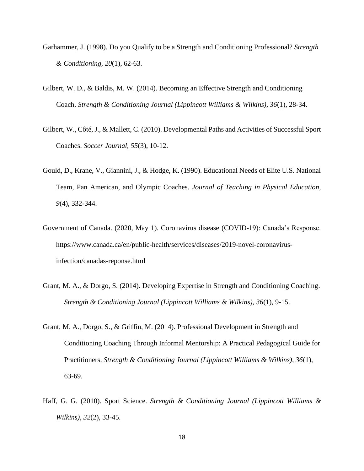- Garhammer, J. (1998). Do you Qualify to be a Strength and Conditioning Professional? *Strength & Conditioning, 20*(1), 62-63.
- Gilbert, W. D., & Baldis, M. W. (2014). Becoming an Effective Strength and Conditioning Coach. *Strength & Conditioning Journal (Lippincott Williams & Wilkins), 36*(1), 28-34.
- Gilbert, W., Côté, J., & Mallett, C. (2010). Developmental Paths and Activities of Successful Sport Coaches. *Soccer Journal, 55*(3), 10-12.
- Gould, D., Krane, V., Giannini, J., & Hodge, K. (1990). Educational Needs of Elite U.S. National Team, Pan American, and Olympic Coaches. *Journal of Teaching in Physical Education, 9*(4), 332-344.
- Government of Canada. (2020, May 1). Coronavirus disease (COVID-19): Canada's Response. https://www.canada.ca/en/public-health/services/diseases/2019-novel-coronavirusinfection/canadas-reponse.html
- Grant, M. A., & Dorgo, S. (2014). Developing Expertise in Strength and Conditioning Coaching. *Strength & Conditioning Journal (Lippincott Williams & Wilkins), 36*(1), 9-15.
- Grant, M. A., Dorgo, S., & Griffin, M. (2014). Professional Development in Strength and Conditioning Coaching Through Informal Mentorship: A Practical Pedagogical Guide for Practitioners. *Strength & Conditioning Journal (Lippincott Williams & Wilkins), 36*(1), 63-69.
- Haff, G. G. (2010). Sport Science. *Strength & Conditioning Journal (Lippincott Williams & Wilkins), 32*(2), 33-45.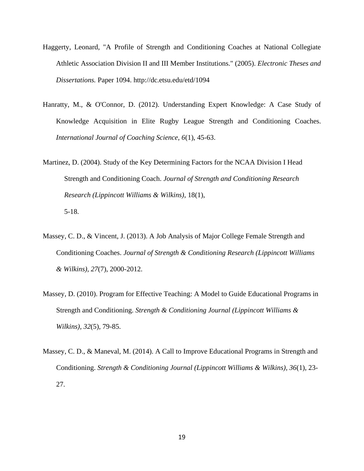- Haggerty, Leonard, "A Profile of Strength and Conditioning Coaches at National Collegiate Athletic Association Division II and III Member Institutions." (2005). *Electronic Theses and Dissertations.* Paper 1094. http://dc.etsu.edu/etd/1094
- Hanratty, M., & O'Connor, D. (2012). Understanding Expert Knowledge: A Case Study of Knowledge Acquisition in Elite Rugby League Strength and Conditioning Coaches. *International Journal of Coaching Science, 6*(1), 45-63.
- Martinez, D. (2004). Study of the Key Determining Factors for the NCAA Division I Head Strength and Conditioning Coach. *Journal of Strength and Conditioning Research Research (Lippincott Williams & Wilkins)*, 18(1), 5-18.
- Massey, C. D., & Vincent, J. (2013). A Job Analysis of Major College Female Strength and Conditioning Coaches. *Journal of Strength & Conditioning Research (Lippincott Williams & Wilkins), 27*(7), 2000-2012.
- Massey, D. (2010). Program for Effective Teaching: A Model to Guide Educational Programs in Strength and Conditioning. *Strength & Conditioning Journal (Lippincott Williams & Wilkins), 32*(5), 79-85.
- Massey, C. D., & Maneval, M. (2014). A Call to Improve Educational Programs in Strength and Conditioning. *Strength & Conditioning Journal (Lippincott Williams & Wilkins), 36*(1), 23- 27.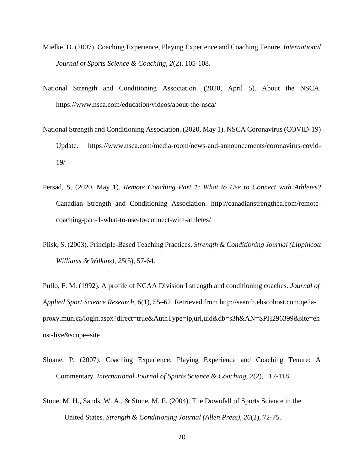- Mielke, D. (2007). Coaching Experience, Playing Experience and Coaching Tenure. *International Journal of Sports Science & Coaching, 2*(2), 105-108.
- National Strength and Conditioning Association. (2020, April 5). About the NSCA. https://www.nsca.com/education/videos/about-the-nsca/
- National Strength and Conditioning Association. (2020, May 1). NSCA Coronavirus (COVID-19) Update. https://www.nsca.com/media-room/news-and-announcements/coronavirus-covid-19/
- Persad, S. (2020, May 1). *Remote Coaching Part 1: What to Use to Connect with Athletes?* Canadian Strength and Conditioning Association. http://canadianstrengthca.com/remotecoaching-part-1-what-to-use-to-connect-with-athletes/
- Plisk, S. (2003). Principle-Based Teaching Practices. *Strength & Conditioning Journal (Lippincott Williams & Wilkins), 25*(5), 57-64.

Pullo, F. M. (1992). A profile of NCAA Division I strength and conditioning coaches. *Journal of Applied Sport Science Research*, *6*(1), 55–62. Retrieved from http://search.ebscohost.com.qe2aproxy.mun.ca/login.aspx?direct=true&AuthType=ip,url,uid&db=s3h&AN=SPH296399&site=eh ost-live&scope=site

- Sloane, P. (2007). Coaching Experience, Playing Experience and Coaching Tenure: A Commentary. *International Journal of Sports Science & Coaching, 2*(2), 117-118.
- Stone, M. H., Sands, W. A., & Stone, M. E. (2004). The Downfall of Sports Science in the United States. *Strength & Conditioning Journal (Allen Press), 26*(2), 72-75.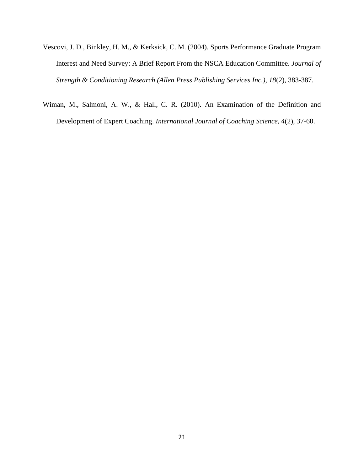- Vescovi, J. D., Binkley, H. M., & Kerksick, C. M. (2004). Sports Performance Graduate Program Interest and Need Survey: A Brief Report From the NSCA Education Committee. *Journal of Strength & Conditioning Research (Allen Press Publishing Services Inc.), 18*(2), 383-387.
- Wiman, M., Salmoni, A. W., & Hall, C. R. (2010). An Examination of the Definition and Development of Expert Coaching. *International Journal of Coaching Science, 4*(2), 37-60.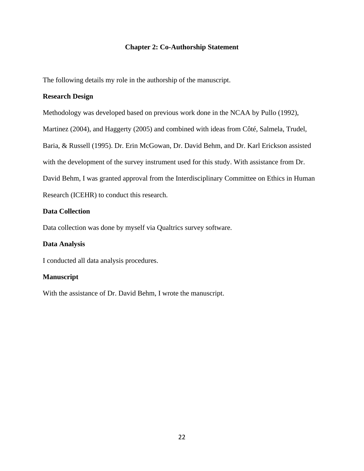# **Chapter 2: Co-Authorship Statement**

The following details my role in the authorship of the manuscript.

# **Research Design**

Methodology was developed based on previous work done in the NCAA by Pullo (1992),

Martinez (2004), and Haggerty (2005) and combined with ideas from Côté, Salmela, Trudel,

Baria, & Russell (1995). Dr. Erin McGowan, Dr. David Behm, and Dr. Karl Erickson assisted

with the development of the survey instrument used for this study. With assistance from Dr.

David Behm, I was granted approval from the Interdisciplinary Committee on Ethics in Human

Research (ICEHR) to conduct this research.

# **Data Collection**

Data collection was done by myself via Qualtrics survey software.

# **Data Analysis**

I conducted all data analysis procedures.

# **Manuscript**

With the assistance of Dr. David Behm, I wrote the manuscript.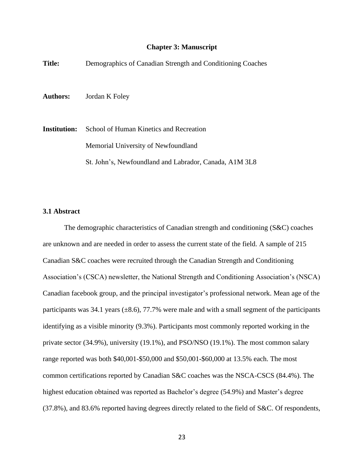### **Chapter 3: Manuscript**

| <b>Title:</b>   | Demographics of Canadian Strength and Conditioning Coaches                     |
|-----------------|--------------------------------------------------------------------------------|
| <b>Authors:</b> | Jordan K Foley                                                                 |
| Institution:    | School of Human Kinetics and Recreation<br>Memorial University of Newfoundland |
|                 | St. John's, Newfoundland and Labrador, Canada, A1M 3L8                         |

### **3.1 Abstract**

The demographic characteristics of Canadian strength and conditioning (S&C) coaches are unknown and are needed in order to assess the current state of the field. A sample of 215 Canadian S&C coaches were recruited through the Canadian Strength and Conditioning Association's (CSCA) newsletter, the National Strength and Conditioning Association's (NSCA) Canadian facebook group, and the principal investigator's professional network. Mean age of the participants was 34.1 years  $(\pm 8.6)$ , 77.7% were male and with a small segment of the participants identifying as a visible minority (9.3%). Participants most commonly reported working in the private sector (34.9%), university (19.1%), and PSO/NSO (19.1%). The most common salary range reported was both \$40,001-\$50,000 and \$50,001-\$60,000 at 13.5% each. The most common certifications reported by Canadian S&C coaches was the NSCA-CSCS (84.4%). The highest education obtained was reported as Bachelor's degree (54.9%) and Master's degree (37.8%), and 83.6% reported having degrees directly related to the field of S&C. Of respondents,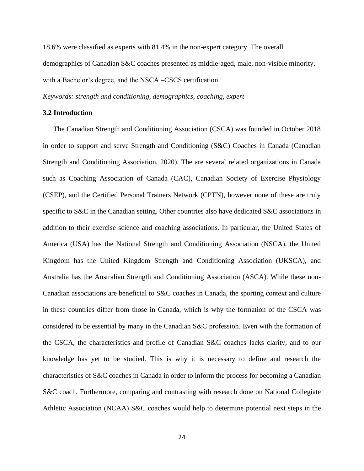18.6% were classified as experts with 81.4% in the non-expert category. The overall demographics of Canadian S&C coaches presented as middle-aged, male, non-visible minority, with a Bachelor's degree, and the NSCA –CSCS certification.

*Keywords: strength and conditioning, demographics, coaching, expert* 

### **3.2 Introduction**

The Canadian Strength and Conditioning Association (CSCA) was founded in October 2018 in order to support and serve Strength and Conditioning (S&C) Coaches in Canada (Canadian Strength and Conditioning Association, 2020). The are several related organizations in Canada such as Coaching Association of Canada (CAC), Canadian Society of Exercise Physiology (CSEP), and the Certified Personal Trainers Network (CPTN), however none of these are truly specific to S&C in the Canadian setting. Other countries also have dedicated S&C associations in addition to their exercise science and coaching associations. In particular, the United States of America (USA) has the National Strength and Conditioning Association (NSCA), the United Kingdom has the United Kingdom Strength and Conditioning Association (UKSCA), and Australia has the Australian Strength and Conditioning Association (ASCA). While these non-Canadian associations are beneficial to S&C coaches in Canada, the sporting context and culture in these countries differ from those in Canada, which is why the formation of the CSCA was considered to be essential by many in the Canadian S&C profession. Even with the formation of the CSCA, the characteristics and profile of Canadian S&C coaches lacks clarity, and to our knowledge has yet to be studied. This is why it is necessary to define and research the characteristics of S&C coaches in Canada in order to inform the process for becoming a Canadian S&C coach. Furthermore, comparing and contrasting with research done on National Collegiate Athletic Association (NCAA) S&C coaches would help to determine potential next steps in the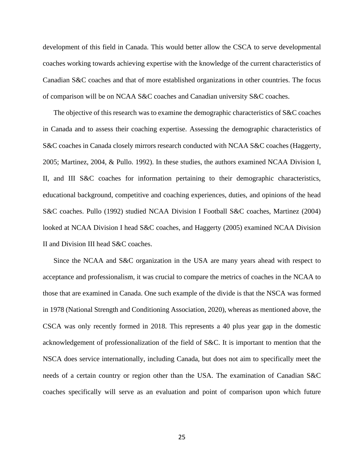development of this field in Canada. This would better allow the CSCA to serve developmental coaches working towards achieving expertise with the knowledge of the current characteristics of Canadian S&C coaches and that of more established organizations in other countries. The focus of comparison will be on NCAA S&C coaches and Canadian university S&C coaches.

The objective of this research was to examine the demographic characteristics of S&C coaches in Canada and to assess their coaching expertise. Assessing the demographic characteristics of S&C coaches in Canada closely mirrors research conducted with NCAA S&C coaches (Haggerty, 2005; Martinez, 2004, & Pullo. 1992). In these studies, the authors examined NCAA Division I, II, and III S&C coaches for information pertaining to their demographic characteristics, educational background, competitive and coaching experiences, duties, and opinions of the head S&C coaches. Pullo (1992) studied NCAA Division I Football S&C coaches, Martinez (2004) looked at NCAA Division I head S&C coaches, and Haggerty (2005) examined NCAA Division II and Division III head S&C coaches.

Since the NCAA and S&C organization in the USA are many years ahead with respect to acceptance and professionalism, it was crucial to compare the metrics of coaches in the NCAA to those that are examined in Canada. One such example of the divide is that the NSCA was formed in 1978 (National Strength and Conditioning Association, 2020), whereas as mentioned above, the CSCA was only recently formed in 2018. This represents a 40 plus year gap in the domestic acknowledgement of professionalization of the field of S&C. It is important to mention that the NSCA does service internationally, including Canada, but does not aim to specifically meet the needs of a certain country or region other than the USA. The examination of Canadian S&C coaches specifically will serve as an evaluation and point of comparison upon which future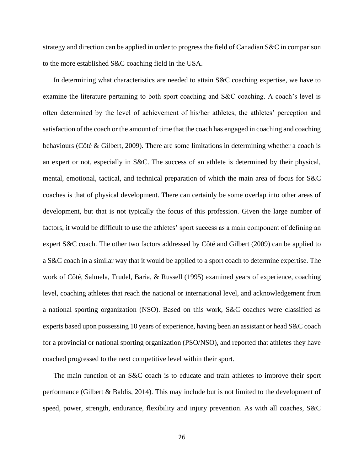strategy and direction can be applied in order to progress the field of Canadian S&C in comparison to the more established S&C coaching field in the USA.

In determining what characteristics are needed to attain S&C coaching expertise, we have to examine the literature pertaining to both sport coaching and S&C coaching. A coach's level is often determined by the level of achievement of his/her athletes, the athletes' perception and satisfaction of the coach or the amount of time that the coach has engaged in coaching and coaching behaviours [\(Côté](http://refworks.scholarsportal.info.library.sheridanc.on.ca/refworks2/default.aspx?r=references%7CMainLayout::init) & Gilbert, 2009). There are some limitations in determining whether a coach is an expert or not, especially in S&C. The success of an athlete is determined by their physical, mental, emotional, tactical, and technical preparation of which the main area of focus for S&C coaches is that of physical development. There can certainly be some overlap into other areas of development, but that is not typically the focus of this profession. Given the large number of factors, it would be difficult to use the athletes' sport success as a main component of defining an expert S&C coach. The other two factors addressed by [Côté](http://refworks.scholarsportal.info.library.sheridanc.on.ca/refworks2/default.aspx?r=references%7CMainLayout::init) and Gilbert (2009) can be applied to a S&C coach in a similar way that it would be applied to a sport coach to determine expertise. The work of Côté, Salmela, Trudel, Baria, & Russell (1995) examined years of experience, coaching level, coaching athletes that reach the national or international level, and acknowledgement from a national sporting organization (NSO). Based on this work, S&C coaches were classified as experts based upon possessing 10 years of experience, having been an assistant or head S&C coach for a provincial or national sporting organization (PSO/NSO), and reported that athletes they have coached progressed to the next competitive level within their sport.

The main function of an S&C coach is to educate and train athletes to improve their sport performance (Gilbert & Baldis, 2014). This may include but is not limited to the development of speed, power, strength, endurance, flexibility and injury prevention. As with all coaches, S&C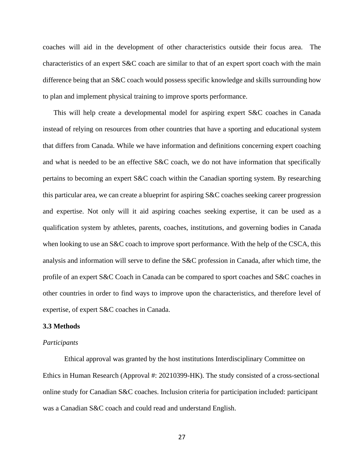coaches will aid in the development of other characteristics outside their focus area. The characteristics of an expert S&C coach are similar to that of an expert sport coach with the main difference being that an S&C coach would possess specific knowledge and skills surrounding how to plan and implement physical training to improve sports performance.

This will help create a developmental model for aspiring expert S&C coaches in Canada instead of relying on resources from other countries that have a sporting and educational system that differs from Canada. While we have information and definitions concerning expert coaching and what is needed to be an effective S&C coach, we do not have information that specifically pertains to becoming an expert S&C coach within the Canadian sporting system. By researching this particular area, we can create a blueprint for aspiring S&C coaches seeking career progression and expertise. Not only will it aid aspiring coaches seeking expertise, it can be used as a qualification system by athletes, parents, coaches, institutions, and governing bodies in Canada when looking to use an S&C coach to improve sport performance. With the help of the CSCA, this analysis and information will serve to define the S&C profession in Canada, after which time, the profile of an expert S&C Coach in Canada can be compared to sport coaches and S&C coaches in other countries in order to find ways to improve upon the characteristics, and therefore level of expertise, of expert S&C coaches in Canada.

#### **3.3 Methods**

#### *Participants*

Ethical approval was granted by the host institutions Interdisciplinary Committee on Ethics in Human Research (Approval #: 20210399-HK). The study consisted of a cross-sectional online study for Canadian S&C coaches. Inclusion criteria for participation included: participant was a Canadian S&C coach and could read and understand English.

27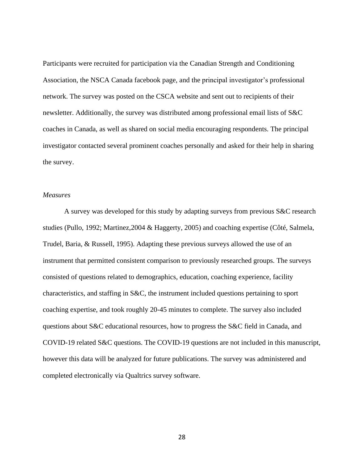Participants were recruited for participation via the Canadian Strength and Conditioning Association, the NSCA Canada facebook page, and the principal investigator's professional network. The survey was posted on the CSCA website and sent out to recipients of their newsletter. Additionally, the survey was distributed among professional email lists of S&C coaches in Canada, as well as shared on social media encouraging respondents. The principal investigator contacted several prominent coaches personally and asked for their help in sharing the survey.

### *Measures*

A survey was developed for this study by adapting surveys from previous S&C research studies (Pullo, 1992; Martinez,2004 & Haggerty, 2005) and coaching expertise (Côté, Salmela, Trudel, Baria, & Russell, 1995). Adapting these previous surveys allowed the use of an instrument that permitted consistent comparison to previously researched groups. The surveys consisted of questions related to demographics, education, coaching experience, facility characteristics, and staffing in S&C, the instrument included questions pertaining to sport coaching expertise, and took roughly 20-45 minutes to complete. The survey also included questions about S&C educational resources, how to progress the S&C field in Canada, and COVID-19 related S&C questions. The COVID-19 questions are not included in this manuscript, however this data will be analyzed for future publications. The survey was administered and completed electronically via Qualtrics survey software.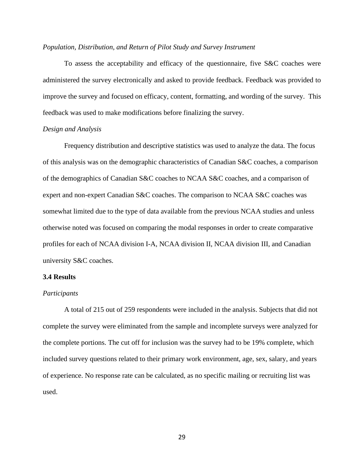#### *Population, Distribution, and Return of Pilot Study and Survey Instrument*

To assess the acceptability and efficacy of the questionnaire, five S&C coaches were administered the survey electronically and asked to provide feedback. Feedback was provided to improve the survey and focused on efficacy, content, formatting, and wording of the survey. This feedback was used to make modifications before finalizing the survey.

### *Design and Analysis*

Frequency distribution and descriptive statistics was used to analyze the data. The focus of this analysis was on the demographic characteristics of Canadian S&C coaches, a comparison of the demographics of Canadian S&C coaches to NCAA S&C coaches, and a comparison of expert and non-expert Canadian S&C coaches. The comparison to NCAA S&C coaches was somewhat limited due to the type of data available from the previous NCAA studies and unless otherwise noted was focused on comparing the modal responses in order to create comparative profiles for each of NCAA division I-A, NCAA division II, NCAA division III, and Canadian university S&C coaches.

### **3.4 Results**

#### *Participants*

A total of 215 out of 259 respondents were included in the analysis. Subjects that did not complete the survey were eliminated from the sample and incomplete surveys were analyzed for the complete portions. The cut off for inclusion was the survey had to be 19% complete, which included survey questions related to their primary work environment, age, sex, salary, and years of experience. No response rate can be calculated, as no specific mailing or recruiting list was used.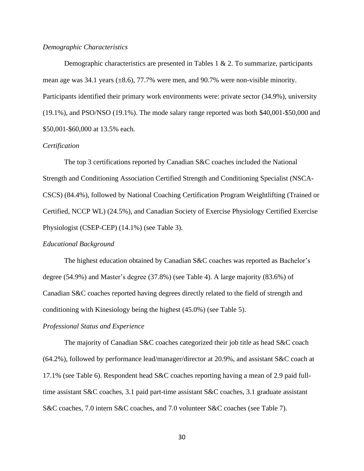#### *Demographic Characteristics*

Demographic characteristics are presented in Tables 1 & 2. To summarize, participants mean age was  $34.1$  years ( $\pm 8.6$ ),  $77.7\%$  were men, and  $90.7\%$  were non-visible minority. Participants identified their primary work environments were: private sector (34.9%), university (19.1%), and PSO/NSO (19.1%). The mode salary range reported was both \$40,001-\$50,000 and \$50,001-\$60,000 at 13.5% each.

#### *Certification*

The top 3 certifications reported by Canadian S&C coaches included the National Strength and Conditioning Association Certified Strength and Conditioning Specialist (NSCA-CSCS) (84.4%), followed by National Coaching Certification Program Weightlifting (Trained or Certified, NCCP WL) (24.5%), and Canadian Society of Exercise Physiology Certified Exercise Physiologist (CSEP-CEP) (14.1%) (see Table 3).

#### *Educational Background*

The highest education obtained by Canadian S&C coaches was reported as Bachelor's degree (54.9%) and Master's degree (37.8%) (see Table 4). A large majority (83.6%) of Canadian S&C coaches reported having degrees directly related to the field of strength and conditioning with Kinesiology being the highest (45.0%) (see Table 5).

#### *Professional Status and Experience*

The majority of Canadian S&C coaches categorized their job title as head S&C coach (64.2%), followed by performance lead/manager/director at 20.9%, and assistant S&C coach at 17.1% (see Table 6). Respondent head S&C coaches reporting having a mean of 2.9 paid fulltime assistant S&C coaches, 3.1 paid part-time assistant S&C coaches, 3.1 graduate assistant S&C coaches, 7.0 intern S&C coaches, and 7.0 volunteer S&C coaches (see Table 7).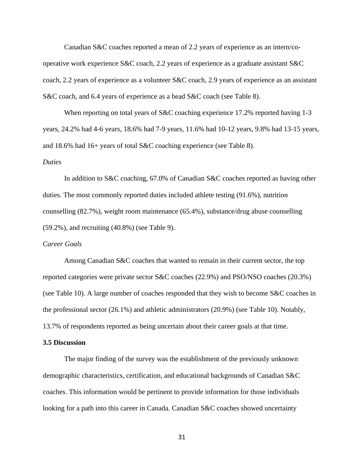Canadian S&C coaches reported a mean of 2.2 years of experience as an intern/cooperative work experience S&C coach, 2.2 years of experience as a graduate assistant S&C coach, 2.2 years of experience as a volunteer S&C coach, 2.9 years of experience as an assistant S&C coach, and 6.4 years of experience as a head S&C coach (see Table 8).

When reporting on total years of S&C coaching experience 17.2% reported having 1-3 years, 24.2% had 4-6 years, 18.6% had 7-9 years, 11.6% had 10-12 years, 9.8% had 13-15 years, and 18.6% had 16+ years of total S&C coaching experience (see Table 8).

#### *Duties*

In addition to S&C coaching, 67.0% of Canadian S&C coaches reported as having other duties. The most commonly reported duties included athlete testing (91.6%), nutrition counselling (82.7%), weight room maintenance (65.4%), substance/drug abuse counselling (59.2%), and recruiting (40.8%) (see Table 9).

#### *Career Goals*

Among Canadian S&C coaches that wanted to remain in their current sector, the top reported categories were private sector S&C coaches (22.9%) and PSO/NSO coaches (20.3%) (see Table 10). A large number of coaches responded that they wish to become S&C coaches in the professional sector (26.1%) and athletic administrators (20.9%) (see Table 10). Notably, 13.7% of respondents reported as being uncertain about their career goals at that time.

#### **3.5 Discussion**

The major finding of the survey was the establishment of the previously unknown demographic characteristics, certification, and educational backgrounds of Canadian S&C coaches. This information would be pertinent to provide information for those individuals looking for a path into this career in Canada. Canadian S&C coaches showed uncertainty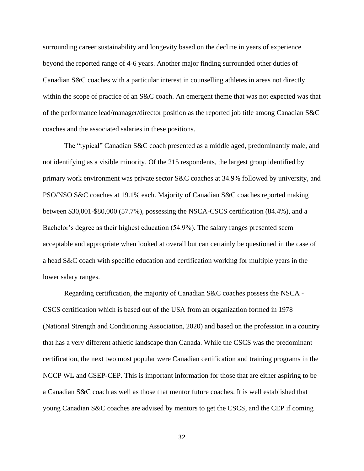surrounding career sustainability and longevity based on the decline in years of experience beyond the reported range of 4-6 years. Another major finding surrounded other duties of Canadian S&C coaches with a particular interest in counselling athletes in areas not directly within the scope of practice of an S&C coach. An emergent theme that was not expected was that of the performance lead/manager/director position as the reported job title among Canadian S&C coaches and the associated salaries in these positions.

The "typical" Canadian S&C coach presented as a middle aged, predominantly male, and not identifying as a visible minority. Of the 215 respondents, the largest group identified by primary work environment was private sector S&C coaches at 34.9% followed by university, and PSO/NSO S&C coaches at 19.1% each. Majority of Canadian S&C coaches reported making between \$30,001-\$80,000 (57.7%), possessing the NSCA-CSCS certification (84.4%), and a Bachelor's degree as their highest education (54.9%). The salary ranges presented seem acceptable and appropriate when looked at overall but can certainly be questioned in the case of a head S&C coach with specific education and certification working for multiple years in the lower salary ranges.

Regarding certification, the majority of Canadian S&C coaches possess the NSCA - CSCS certification which is based out of the USA from an organization formed in 1978 (National Strength and Conditioning Association, 2020) and based on the profession in a country that has a very different athletic landscape than Canada. While the CSCS was the predominant certification, the next two most popular were Canadian certification and training programs in the NCCP WL and CSEP-CEP. This is important information for those that are either aspiring to be a Canadian S&C coach as well as those that mentor future coaches. It is well established that young Canadian S&C coaches are advised by mentors to get the CSCS, and the CEP if coming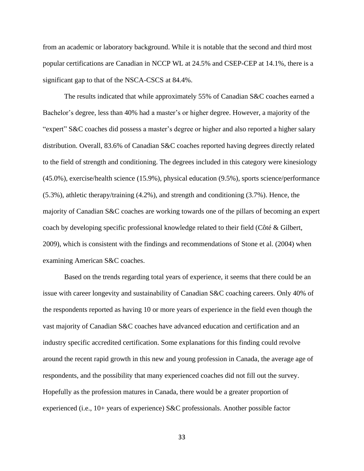from an academic or laboratory background. While it is notable that the second and third most popular certifications are Canadian in NCCP WL at 24.5% and CSEP-CEP at 14.1%, there is a significant gap to that of the NSCA-CSCS at 84.4%.

The results indicated that while approximately 55% of Canadian S&C coaches earned a Bachelor's degree, less than 40% had a master's or higher degree. However, a majority of the "expert" S&C coaches did possess a master's degree or higher and also reported a higher salary distribution. Overall, 83.6% of Canadian S&C coaches reported having degrees directly related to the field of strength and conditioning. The degrees included in this category were kinesiology (45.0%), exercise/health science (15.9%), physical education (9.5%), sports science/performance (5.3%), athletic therapy/training (4.2%), and strength and conditioning (3.7%). Hence, the majority of Canadian S&C coaches are working towards one of the pillars of becoming an expert coach by developing specific professional knowledge related to their field [\(Côté](http://refworks.scholarsportal.info.library.sheridanc.on.ca/refworks2/default.aspx?r=references%7CMainLayout::init) & Gilbert, 2009), which is consistent with the findings and recommendations of Stone et al. (2004) when examining American S&C coaches.

Based on the trends regarding total years of experience, it seems that there could be an issue with career longevity and sustainability of Canadian S&C coaching careers. Only 40% of the respondents reported as having 10 or more years of experience in the field even though the vast majority of Canadian S&C coaches have advanced education and certification and an industry specific accredited certification. Some explanations for this finding could revolve around the recent rapid growth in this new and young profession in Canada, the average age of respondents, and the possibility that many experienced coaches did not fill out the survey. Hopefully as the profession matures in Canada, there would be a greater proportion of experienced (i.e., 10+ years of experience) S&C professionals. Another possible factor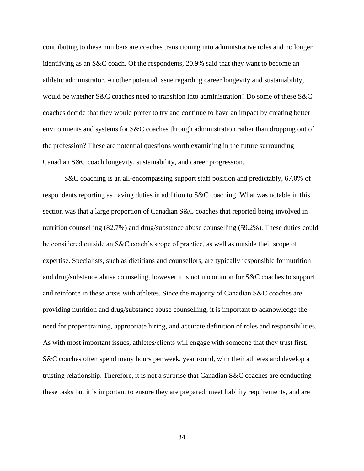contributing to these numbers are coaches transitioning into administrative roles and no longer identifying as an S&C coach. Of the respondents, 20.9% said that they want to become an athletic administrator. Another potential issue regarding career longevity and sustainability, would be whether S&C coaches need to transition into administration? Do some of these S&C coaches decide that they would prefer to try and continue to have an impact by creating better environments and systems for S&C coaches through administration rather than dropping out of the profession? These are potential questions worth examining in the future surrounding Canadian S&C coach longevity, sustainability, and career progression.

S&C coaching is an all-encompassing support staff position and predictably, 67.0% of respondents reporting as having duties in addition to S&C coaching. What was notable in this section was that a large proportion of Canadian S&C coaches that reported being involved in nutrition counselling (82.7%) and drug/substance abuse counselling (59.2%). These duties could be considered outside an S&C coach's scope of practice, as well as outside their scope of expertise. Specialists, such as dietitians and counsellors, are typically responsible for nutrition and drug/substance abuse counseling, however it is not uncommon for S&C coaches to support and reinforce in these areas with athletes. Since the majority of Canadian S&C coaches are providing nutrition and drug/substance abuse counselling, it is important to acknowledge the need for proper training, appropriate hiring, and accurate definition of roles and responsibilities. As with most important issues, athletes/clients will engage with someone that they trust first. S&C coaches often spend many hours per week, year round, with their athletes and develop a trusting relationship. Therefore, it is not a surprise that Canadian S&C coaches are conducting these tasks but it is important to ensure they are prepared, meet liability requirements, and are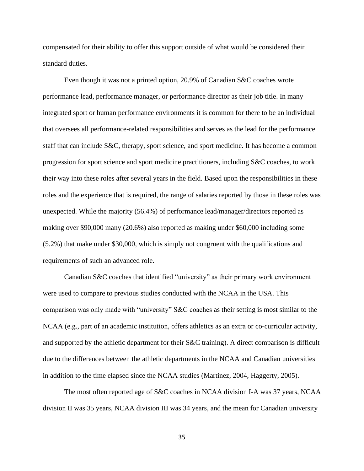compensated for their ability to offer this support outside of what would be considered their standard duties.

Even though it was not a printed option, 20.9% of Canadian S&C coaches wrote performance lead, performance manager, or performance director as their job title. In many integrated sport or human performance environments it is common for there to be an individual that oversees all performance-related responsibilities and serves as the lead for the performance staff that can include S&C, therapy, sport science, and sport medicine. It has become a common progression for sport science and sport medicine practitioners, including S&C coaches, to work their way into these roles after several years in the field. Based upon the responsibilities in these roles and the experience that is required, the range of salaries reported by those in these roles was unexpected. While the majority (56.4%) of performance lead/manager/directors reported as making over \$90,000 many (20.6%) also reported as making under \$60,000 including some (5.2%) that make under \$30,000, which is simply not congruent with the qualifications and requirements of such an advanced role.

Canadian S&C coaches that identified "university" as their primary work environment were used to compare to previous studies conducted with the NCAA in the USA. This comparison was only made with "university" S&C coaches as their setting is most similar to the NCAA (e.g., part of an academic institution, offers athletics as an extra or co-curricular activity, and supported by the athletic department for their S&C training). A direct comparison is difficult due to the differences between the athletic departments in the NCAA and Canadian universities in addition to the time elapsed since the NCAA studies (Martinez, 2004, Haggerty, 2005).

The most often reported age of S&C coaches in NCAA division I-A was 37 years, NCAA division II was 35 years, NCAA division III was 34 years, and the mean for Canadian university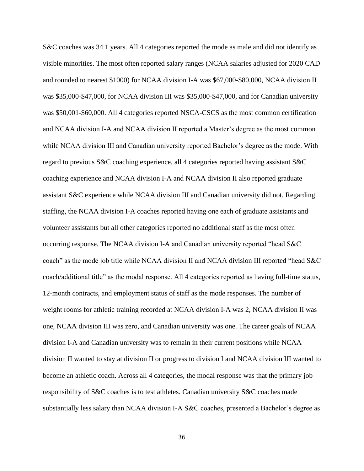S&C coaches was 34.1 years. All 4 categories reported the mode as male and did not identify as visible minorities. The most often reported salary ranges (NCAA salaries adjusted for 2020 CAD and rounded to nearest \$1000) for NCAA division I-A was \$67,000-\$80,000, NCAA division II was \$35,000-\$47,000, for NCAA division III was \$35,000-\$47,000, and for Canadian university was \$50,001-\$60,000. All 4 categories reported NSCA-CSCS as the most common certification and NCAA division I-A and NCAA division II reported a Master's degree as the most common while NCAA division III and Canadian university reported Bachelor's degree as the mode. With regard to previous S&C coaching experience, all 4 categories reported having assistant S&C coaching experience and NCAA division I-A and NCAA division II also reported graduate assistant S&C experience while NCAA division III and Canadian university did not. Regarding staffing, the NCAA division I-A coaches reported having one each of graduate assistants and volunteer assistants but all other categories reported no additional staff as the most often occurring response. The NCAA division I-A and Canadian university reported "head S&C coach" as the mode job title while NCAA division II and NCAA division III reported "head S&C coach/additional title" as the modal response. All 4 categories reported as having full-time status, 12-month contracts, and employment status of staff as the mode responses. The number of weight rooms for athletic training recorded at NCAA division I-A was 2, NCAA division II was one, NCAA division III was zero, and Canadian university was one. The career goals of NCAA division I-A and Canadian university was to remain in their current positions while NCAA division II wanted to stay at division II or progress to division I and NCAA division III wanted to become an athletic coach. Across all 4 categories, the modal response was that the primary job responsibility of S&C coaches is to test athletes. Canadian university S&C coaches made substantially less salary than NCAA division I-A S&C coaches, presented a Bachelor's degree as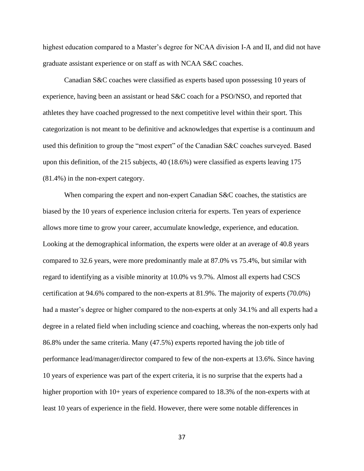highest education compared to a Master's degree for NCAA division I-A and II, and did not have graduate assistant experience or on staff as with NCAA S&C coaches.

Canadian S&C coaches were classified as experts based upon possessing 10 years of experience, having been an assistant or head S&C coach for a PSO/NSO, and reported that athletes they have coached progressed to the next competitive level within their sport. This categorization is not meant to be definitive and acknowledges that expertise is a continuum and used this definition to group the "most expert" of the Canadian S&C coaches surveyed. Based upon this definition, of the 215 subjects, 40 (18.6%) were classified as experts leaving 175 (81.4%) in the non-expert category.

When comparing the expert and non-expert Canadian S&C coaches, the statistics are biased by the 10 years of experience inclusion criteria for experts. Ten years of experience allows more time to grow your career, accumulate knowledge, experience, and education. Looking at the demographical information, the experts were older at an average of 40.8 years compared to 32.6 years, were more predominantly male at 87.0% vs 75.4%, but similar with regard to identifying as a visible minority at 10.0% vs 9.7%. Almost all experts had CSCS certification at 94.6% compared to the non-experts at 81.9%. The majority of experts (70.0%) had a master's degree or higher compared to the non-experts at only 34.1% and all experts had a degree in a related field when including science and coaching, whereas the non-experts only had 86.8% under the same criteria. Many (47.5%) experts reported having the job title of performance lead/manager/director compared to few of the non-experts at 13.6%. Since having 10 years of experience was part of the expert criteria, it is no surprise that the experts had a higher proportion with 10+ years of experience compared to 18.3% of the non-experts with at least 10 years of experience in the field. However, there were some notable differences in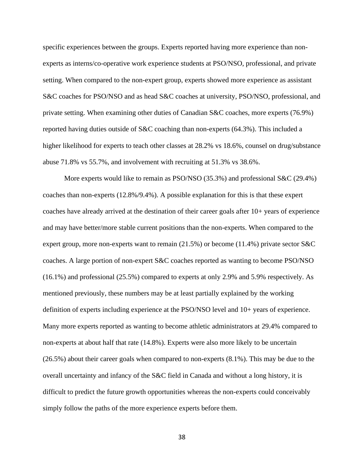specific experiences between the groups. Experts reported having more experience than nonexperts as interns/co-operative work experience students at PSO/NSO, professional, and private setting. When compared to the non-expert group, experts showed more experience as assistant S&C coaches for PSO/NSO and as head S&C coaches at university, PSO/NSO, professional, and private setting. When examining other duties of Canadian S&C coaches, more experts (76.9%) reported having duties outside of S&C coaching than non-experts (64.3%). This included a higher likelihood for experts to teach other classes at 28.2% vs 18.6%, counsel on drug/substance abuse 71.8% vs 55.7%, and involvement with recruiting at 51.3% vs 38.6%.

More experts would like to remain as PSO/NSO (35.3%) and professional S&C (29.4%) coaches than non-experts (12.8%/9.4%). A possible explanation for this is that these expert coaches have already arrived at the destination of their career goals after 10+ years of experience and may have better/more stable current positions than the non-experts. When compared to the expert group, more non-experts want to remain (21.5%) or become (11.4%) private sector S&C coaches. A large portion of non-expert S&C coaches reported as wanting to become PSO/NSO (16.1%) and professional (25.5%) compared to experts at only 2.9% and 5.9% respectively. As mentioned previously, these numbers may be at least partially explained by the working definition of experts including experience at the PSO/NSO level and 10+ years of experience. Many more experts reported as wanting to become athletic administrators at 29.4% compared to non-experts at about half that rate (14.8%). Experts were also more likely to be uncertain (26.5%) about their career goals when compared to non-experts (8.1%). This may be due to the overall uncertainty and infancy of the S&C field in Canada and without a long history, it is difficult to predict the future growth opportunities whereas the non-experts could conceivably simply follow the paths of the more experience experts before them.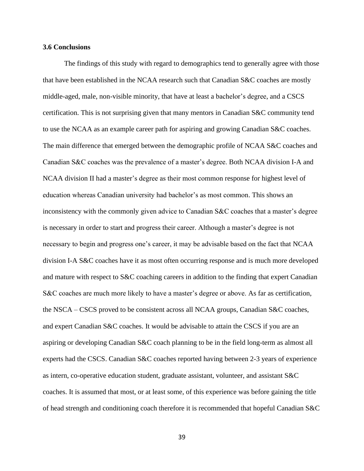#### **3.6 Conclusions**

The findings of this study with regard to demographics tend to generally agree with those that have been established in the NCAA research such that Canadian S&C coaches are mostly middle-aged, male, non-visible minority, that have at least a bachelor's degree, and a CSCS certification. This is not surprising given that many mentors in Canadian S&C community tend to use the NCAA as an example career path for aspiring and growing Canadian S&C coaches. The main difference that emerged between the demographic profile of NCAA S&C coaches and Canadian S&C coaches was the prevalence of a master's degree. Both NCAA division I-A and NCAA division II had a master's degree as their most common response for highest level of education whereas Canadian university had bachelor's as most common. This shows an inconsistency with the commonly given advice to Canadian S&C coaches that a master's degree is necessary in order to start and progress their career. Although a master's degree is not necessary to begin and progress one's career, it may be advisable based on the fact that NCAA division I-A S&C coaches have it as most often occurring response and is much more developed and mature with respect to S&C coaching careers in addition to the finding that expert Canadian S&C coaches are much more likely to have a master's degree or above. As far as certification, the NSCA – CSCS proved to be consistent across all NCAA groups, Canadian S&C coaches, and expert Canadian S&C coaches. It would be advisable to attain the CSCS if you are an aspiring or developing Canadian S&C coach planning to be in the field long-term as almost all experts had the CSCS. Canadian S&C coaches reported having between 2-3 years of experience as intern, co-operative education student, graduate assistant, volunteer, and assistant S&C coaches. It is assumed that most, or at least some, of this experience was before gaining the title of head strength and conditioning coach therefore it is recommended that hopeful Canadian S&C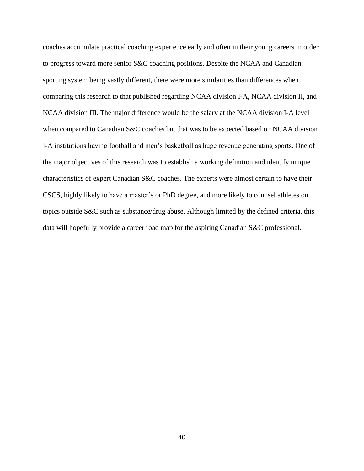coaches accumulate practical coaching experience early and often in their young careers in order to progress toward more senior S&C coaching positions. Despite the NCAA and Canadian sporting system being vastly different, there were more similarities than differences when comparing this research to that published regarding NCAA division I-A, NCAA division II, and NCAA division III. The major difference would be the salary at the NCAA division I-A level when compared to Canadian S&C coaches but that was to be expected based on NCAA division I-A institutions having football and men's basketball as huge revenue generating sports. One of the major objectives of this research was to establish a working definition and identify unique characteristics of expert Canadian S&C coaches. The experts were almost certain to have their CSCS, highly likely to have a master's or PhD degree, and more likely to counsel athletes on topics outside S&C such as substance/drug abuse. Although limited by the defined criteria, this data will hopefully provide a career road map for the aspiring Canadian S&C professional.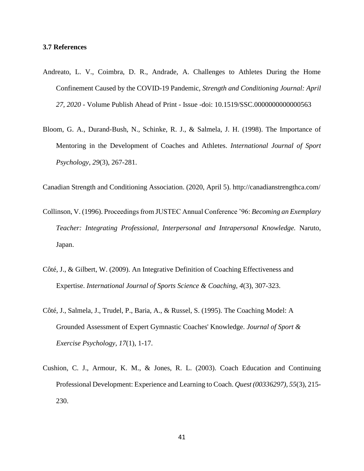#### **3.7 References**

- Andreato, L. V., Coimbra, D. R., Andrade, A. Challenges to Athletes During the Home Confinement Caused by the COVID-19 Pandemic, *Strength and Conditioning Journal: April 27, 2020* - Volume Publish Ahead of Print - Issue -doi: 10.1519/SSC.0000000000000563
- Bloom, G. A., Durand-Bush, N., Schinke, R. J., & Salmela, J. H. (1998). The Importance of Mentoring in the Development of Coaches and Athletes. *International Journal of Sport Psychology, 29*(3), 267-281.

Canadian Strength and Conditioning Association. (2020, April 5). http://canadianstrengthca.com/

- Collinson, V. (1996). Proceedings from JUSTEC Annual Conference '96: *Becoming an Exemplary Teacher: Integrating Professional, Interpersonal and Intrapersonal Knowledge.* Naruto, Japan.
- Côté, J., & Gilbert, W. (2009). An Integrative Definition of Coaching Effectiveness and Expertise. *International Journal of Sports Science & Coaching, 4*(3), 307-323.
- Côté, J., Salmela, J., Trudel, P., Baria, A., & Russel, S. (1995). The Coaching Model: A Grounded Assessment of Expert Gymnastic Coaches' Knowledge. *Journal of Sport & Exercise Psychology, 17*(1), 1-17.
- Cushion, C. J., Armour, K. M., & Jones, R. L. (2003). Coach Education and Continuing Professional Development: Experience and Learning to Coach. *Quest (00336297), 55*(3), 215- 230.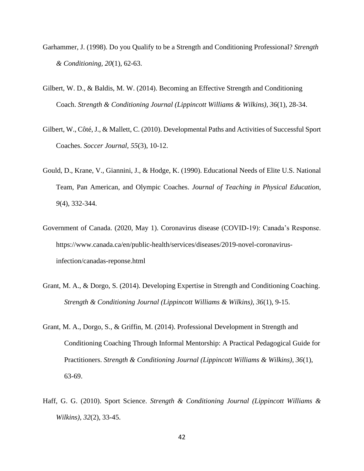- Garhammer, J. (1998). Do you Qualify to be a Strength and Conditioning Professional? *Strength & Conditioning, 20*(1), 62-63.
- Gilbert, W. D., & Baldis, M. W. (2014). Becoming an Effective Strength and Conditioning Coach. *Strength & Conditioning Journal (Lippincott Williams & Wilkins), 36*(1), 28-34.
- Gilbert, W., Côté, J., & Mallett, C. (2010). Developmental Paths and Activities of Successful Sport Coaches. *Soccer Journal, 55*(3), 10-12.
- Gould, D., Krane, V., Giannini, J., & Hodge, K. (1990). Educational Needs of Elite U.S. National Team, Pan American, and Olympic Coaches. *Journal of Teaching in Physical Education, 9*(4), 332-344.
- Government of Canada. (2020, May 1). Coronavirus disease (COVID-19): Canada's Response. https://www.canada.ca/en/public-health/services/diseases/2019-novel-coronavirusinfection/canadas-reponse.html
- Grant, M. A., & Dorgo, S. (2014). Developing Expertise in Strength and Conditioning Coaching. *Strength & Conditioning Journal (Lippincott Williams & Wilkins), 36*(1), 9-15.
- Grant, M. A., Dorgo, S., & Griffin, M. (2014). Professional Development in Strength and Conditioning Coaching Through Informal Mentorship: A Practical Pedagogical Guide for Practitioners. *Strength & Conditioning Journal (Lippincott Williams & Wilkins), 36*(1), 63-69.
- Haff, G. G. (2010). Sport Science. *Strength & Conditioning Journal (Lippincott Williams & Wilkins), 32*(2), 33-45.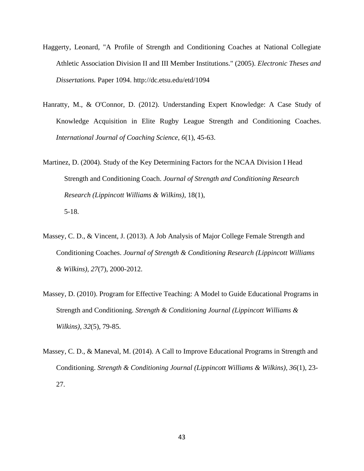- Haggerty, Leonard, "A Profile of Strength and Conditioning Coaches at National Collegiate Athletic Association Division II and III Member Institutions." (2005). *Electronic Theses and Dissertations.* Paper 1094. http://dc.etsu.edu/etd/1094
- Hanratty, M., & O'Connor, D. (2012). Understanding Expert Knowledge: A Case Study of Knowledge Acquisition in Elite Rugby League Strength and Conditioning Coaches. *International Journal of Coaching Science, 6*(1), 45-63.
- Martinez, D. (2004). Study of the Key Determining Factors for the NCAA Division I Head Strength and Conditioning Coach. *Journal of Strength and Conditioning Research Research (Lippincott Williams & Wilkins)*, 18(1), 5-18.
- Massey, C. D., & Vincent, J. (2013). A Job Analysis of Major College Female Strength and Conditioning Coaches. *Journal of Strength & Conditioning Research (Lippincott Williams & Wilkins), 27*(7), 2000-2012.
- Massey, D. (2010). Program for Effective Teaching: A Model to Guide Educational Programs in Strength and Conditioning. *Strength & Conditioning Journal (Lippincott Williams & Wilkins), 32*(5), 79-85.
- Massey, C. D., & Maneval, M. (2014). A Call to Improve Educational Programs in Strength and Conditioning. *Strength & Conditioning Journal (Lippincott Williams & Wilkins), 36*(1), 23- 27.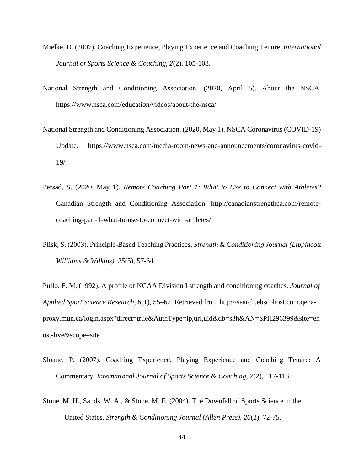- Mielke, D. (2007). Coaching Experience, Playing Experience and Coaching Tenure. *International Journal of Sports Science & Coaching, 2*(2), 105-108.
- National Strength and Conditioning Association. (2020, April 5). About the NSCA. https://www.nsca.com/education/videos/about-the-nsca/
- National Strength and Conditioning Association. (2020, May 1). NSCA Coronavirus (COVID-19) Update. https://www.nsca.com/media-room/news-and-announcements/coronavirus-covid-19/
- Persad, S. (2020, May 1). *Remote Coaching Part 1: What to Use to Connect with Athletes?* Canadian Strength and Conditioning Association. http://canadianstrengthca.com/remotecoaching-part-1-what-to-use-to-connect-with-athletes/
- Plisk, S. (2003). Principle-Based Teaching Practices. *Strength & Conditioning Journal (Lippincott Williams & Wilkins), 25*(5), 57-64.

Pullo, F. M. (1992). A profile of NCAA Division I strength and conditioning coaches. *Journal of Applied Sport Science Research*, *6*(1), 55–62. Retrieved from http://search.ebscohost.com.qe2aproxy.mun.ca/login.aspx?direct=true&AuthType=ip,url,uid&db=s3h&AN=SPH296399&site=eh ost-live&scope=site

- Sloane, P. (2007). Coaching Experience, Playing Experience and Coaching Tenure: A Commentary. *International Journal of Sports Science & Coaching, 2*(2), 117-118.
- Stone, M. H., Sands, W. A., & Stone, M. E. (2004). The Downfall of Sports Science in the United States. *Strength & Conditioning Journal (Allen Press), 26*(2), 72-75.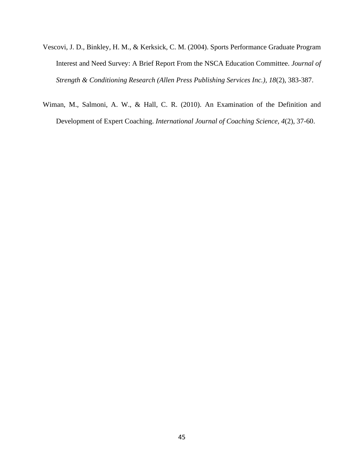- Vescovi, J. D., Binkley, H. M., & Kerksick, C. M. (2004). Sports Performance Graduate Program Interest and Need Survey: A Brief Report From the NSCA Education Committee. *Journal of Strength & Conditioning Research (Allen Press Publishing Services Inc.), 18*(2), 383-387.
- Wiman, M., Salmoni, A. W., & Hall, C. R. (2010). An Examination of the Definition and Development of Expert Coaching. *International Journal of Coaching Science, 4*(2), 37-60.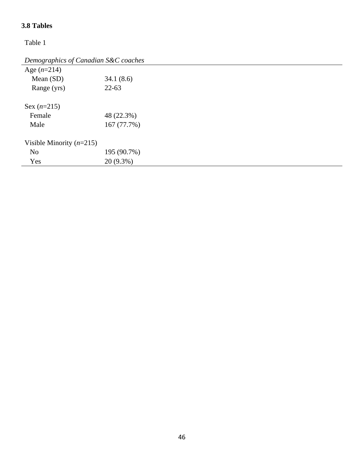### **3.8 Tables**

*Demographics of Canadian S&C coaches* Age (*n*=214) Mean (SD) 34.1 (8.6) Range (yrs) 22-63 Sex (*n*=215) Female 48 (22.3%) Male 167 (77.7%) Visible Minority (*n*=215) No 195 (90.7%) Yes 20 (9.3%)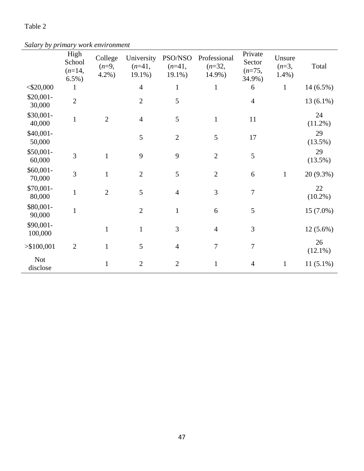*Salary by primary work environment*

| $\sim r$               | High<br>School<br>$(n=14,$<br>$6.5\%)$ | College<br>$(n=9,$<br>$4.2%$ ) | University<br>$(n=41,$<br>19.1%) | PSO/NSO<br>$(n=41,$<br>$19.1\%$ | Professional<br>$(n=32,$<br>14.9%) | Private<br>Sector<br>$(n=75,$<br>34.9%) | Unsure<br>$(n=3,$<br>$1.4%$ ) | Total            |
|------------------------|----------------------------------------|--------------------------------|----------------------------------|---------------------------------|------------------------------------|-----------------------------------------|-------------------------------|------------------|
| $<$ \$20,000           |                                        |                                | $\overline{4}$                   | $\mathbf{1}$                    | $\mathbf{1}$                       | 6                                       | $\mathbf{1}$                  | $14(6.5\%)$      |
| $$20,001-$<br>30,000   | $\overline{2}$                         |                                | $\mathfrak{2}$                   | 5                               |                                    | $\overline{4}$                          |                               | $13(6.1\%)$      |
| \$30,001-<br>40,000    | $\mathbf{1}$                           | $\overline{2}$                 | $\overline{4}$                   | 5                               | $\mathbf{1}$                       | 11                                      |                               | 24<br>$(11.2\%)$ |
| $$40,001-$<br>50,000   |                                        |                                | 5                                | $\overline{2}$                  | 5                                  | 17                                      |                               | 29<br>(13.5%)    |
| $$50,001-$<br>60,000   | 3                                      | $\mathbf{1}$                   | 9                                | 9                               | $\overline{2}$                     | 5                                       |                               | 29<br>(13.5%)    |
| $$60,001-$<br>70,000   | 3                                      | $\mathbf{1}$                   | $\overline{2}$                   | 5                               | $\overline{2}$                     | 6                                       | $\mathbf{1}$                  | 20 (9.3%)        |
| \$70,001-<br>80,000    | $\mathbf{1}$                           | $\overline{2}$                 | 5                                | $\overline{4}$                  | 3                                  | $\boldsymbol{7}$                        |                               | 22<br>$(10.2\%)$ |
| \$80,001-<br>90,000    | $\mathbf{1}$                           |                                | $\mathbf{2}$                     | $\mathbf{1}$                    | $6\,$                              | $\mathfrak{S}$                          |                               | 15 (7.0%)        |
| \$90,001-<br>100,000   |                                        | $\mathbf{1}$                   | $\mathbf{1}$                     | 3                               | $\overline{4}$                     | 3                                       |                               | 12 (5.6%)        |
| > \$100,001            | $\mathbf{2}$                           | $\mathbf{1}$                   | $\mathfrak{S}$                   | $\overline{4}$                  | $\overline{7}$                     | $\boldsymbol{7}$                        |                               | 26<br>$(12.1\%)$ |
| <b>Not</b><br>disclose |                                        | $\mathbf{1}$                   | $\mathbf{2}$                     | $\overline{2}$                  | $\mathbf{1}$                       | $\overline{4}$                          | $\mathbf{1}$                  | $11(5.1\%)$      |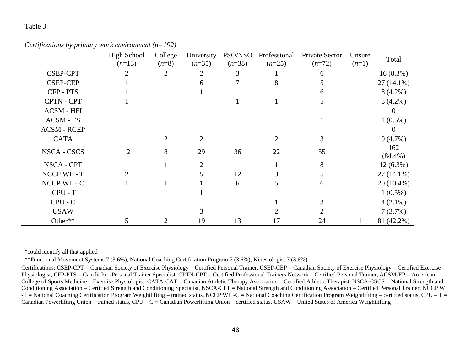*Certifications by primary work environment (n=192)*

|                    | <b>High School</b><br>$(n=13)$ | College<br>$(n=8)$ | University<br>$(n=35)$ | PSO/NSO<br>$(n=38)$ | Professional<br>$(n=25)$ | Private Sector<br>$(n=72)$ | Unsure<br>$(n=1)$ | Total             |
|--------------------|--------------------------------|--------------------|------------------------|---------------------|--------------------------|----------------------------|-------------------|-------------------|
| <b>CSEP-CPT</b>    | 2                              | $\overline{2}$     | 2                      | 3                   |                          | 6                          |                   | $16(8.3\%)$       |
| <b>CSEP-CEP</b>    |                                |                    | 6                      |                     | 8                        |                            |                   | $27(14.1\%)$      |
| CFP-PTS            |                                |                    |                        |                     |                          | 6                          |                   | $8(4.2\%)$        |
| CPTN - CPT         |                                |                    |                        |                     | 1                        | 5                          |                   | $8(4.2\%)$        |
| <b>ACSM - HFI</b>  |                                |                    |                        |                     |                          |                            |                   | $\theta$          |
| <b>ACSM - ES</b>   |                                |                    |                        |                     |                          |                            |                   | $1(0.5\%)$        |
| <b>ACSM - RCEP</b> |                                |                    |                        |                     |                          |                            |                   | $\theta$          |
| <b>CATA</b>        |                                | $\overline{2}$     | 2                      |                     | 2                        | 3                          |                   | $9(4.7\%)$        |
| <b>NSCA - CSCS</b> | 12                             | 8                  | 29                     | 36                  | 22                       | 55                         |                   | 162<br>$(84.4\%)$ |
| NSCA - CPT         |                                |                    | $\overline{2}$         |                     |                          | 8                          |                   | $12(6.3\%)$       |
| NCCP WL - T        | $\mathcal{D}$                  |                    | 5                      | 12                  |                          |                            |                   | $27(14.1\%)$      |
| NCCP WL - C        |                                |                    |                        | 6                   | 5                        | 6                          |                   | 20 (10.4%)        |
| $CPU - T$          |                                |                    |                        |                     |                          |                            |                   | $1(0.5\%)$        |
| $CPU - C$          |                                |                    |                        |                     |                          |                            |                   | $4(2.1\%)$        |
| <b>USAW</b>        |                                |                    |                        |                     |                          |                            |                   | 7(3.7%)           |
| Other**            |                                | 2                  | 19                     | 13                  | 17                       | 24                         |                   | 81 (42.2%)        |

\*could identify all that applied

\*\*Functional Movement Systems 7 (3.6%), National Coaching Certification Program 7 (3.6%), Kinesiologist 7 (3.6%)

Certifications: CSEP-CPT = Canadian Society of Exercise Physiology – Certified Personal Trainer, CSEP-CEP = Canadian Society of Exercise Physiology – Certified Exercise Physiologist, CFP-PTS = Can-fit Pro-Personal Trainer Specialist, CPTN-CPT = Certified Professional Trainers Network – Certified Personal Trainer, ACSM-EP = American College of Sports Medicine – Exercise Physiologist, CATA-CAT = Canadian Athletic Therapy Association – Certified Athletic Therapist, NSCA-CSCS = National Strength and Conditioning Association – Certified Strength and Conditioning Specialist, NSCA-CPT = National Strength and Conditioning Association – Certified Personal Trainer, NCCP WL  $-$ T = National Coaching Certification Program Weightlifting – trained status, NCCP WL  $-$ C = National Coaching Certification Program Weightlifting – certified status, CPU – T = Canadian Powerlifting Union – trained status, CPU – C = Canadian Powerlifting Union – certified status, USAW – United States of America Weightlifting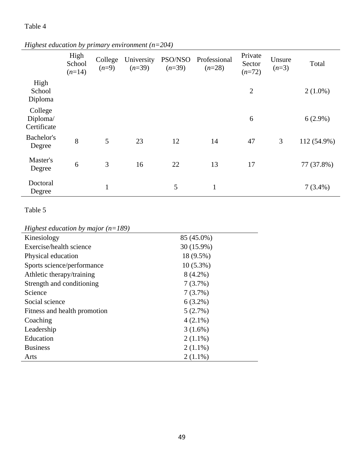|                                    | High<br>School<br>$(n=14)$ | College<br>$(n=9)$ | University<br>$(n=39)$ | PSO/NSO<br>$(n=39)$ | Professional<br>$(n=28)$ | Private<br>Sector<br>$(n=72)$ | Unsure<br>$(n=3)$ | Total       |
|------------------------------------|----------------------------|--------------------|------------------------|---------------------|--------------------------|-------------------------------|-------------------|-------------|
| High<br>School<br>Diploma          |                            |                    |                        |                     |                          | $\overline{2}$                |                   | $2(1.0\%)$  |
| College<br>Diploma/<br>Certificate |                            |                    |                        |                     |                          | 6                             |                   | $6(2.9\%)$  |
| Bachelor's<br>Degree               | 8                          | 5                  | 23                     | 12                  | 14                       | 47                            | 3                 | 112 (54.9%) |
| Master's<br>Degree                 | 6                          | 3                  | 16                     | 22                  | 13                       | 17                            |                   | 77 (37.8%)  |
| Doctoral<br>Degree                 |                            | $\mathbf{1}$       |                        | 5                   | $\mathbf{1}$             |                               |                   | $7(3.4\%)$  |

*Highest education by primary environment (n=204)*

## Table 5

# *Highest education by major (n=189)*

| Kinesiology                  | 85 (45.0%)  |
|------------------------------|-------------|
| Exercise/health science      | 30 (15.9%)  |
| Physical education           | 18 (9.5%)   |
| Sports science/performance   | $10(5.3\%)$ |
| Athletic therapy/training    | $8(4.2\%)$  |
| Strength and conditioning    | 7(3.7%)     |
| Science                      | 7(3.7%)     |
| Social science               | $6(3.2\%)$  |
| Fitness and health promotion | 5(2.7%)     |
| Coaching                     | $4(2.1\%)$  |
| Leadership                   | 3(1.6%)     |
| Education                    | $2(1.1\%)$  |
| <b>Business</b>              | $2(1.1\%)$  |
| Arts                         | $2(1.1\%)$  |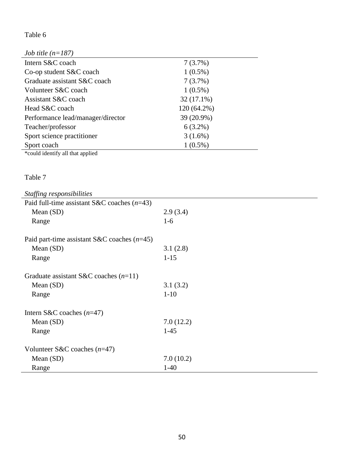| <i>Job title</i> $(n=187)$        |             |
|-----------------------------------|-------------|
| Intern S&C coach                  | 7(3.7%)     |
| Co-op student S&C coach           | $1(0.5\%)$  |
| Graduate assistant S&C coach      | 7(3.7%)     |
| Volunteer S&C coach               | $1(0.5\%)$  |
| Assistant S&C coach               | 32 (17.1%)  |
| Head S&C coach                    | 120 (64.2%) |
| Performance lead/manager/director | 39 (20.9%)  |
| Teacher/professor                 | $6(3.2\%)$  |
| Sport science practitioner        | $3(1.6\%)$  |
| Sport coach                       | $1(0.5\%)$  |

\*could identify all that applied

### Table 7

| Staffing responsibilities                     |           |
|-----------------------------------------------|-----------|
| Paid full-time assistant S&C coaches $(n=43)$ |           |
| Mean $(SD)$                                   | 2.9(3.4)  |
| Range                                         | $1-6$     |
| Paid part-time assistant S&C coaches $(n=45)$ |           |
| Mean (SD)                                     | 3.1(2.8)  |
| Range                                         | $1 - 15$  |
| Graduate assistant S&C coaches $(n=11)$       |           |
| Mean $(SD)$                                   | 3.1(3.2)  |
| Range                                         | $1 - 10$  |
| Intern S&C coaches $(n=47)$                   |           |
| Mean $(SD)$                                   | 7.0(12.2) |
| Range                                         | $1-45$    |
| Volunteer S&C coaches $(n=47)$                |           |
| Mean $(SD)$                                   | 7.0(10.2) |
| Range                                         | $1-40$    |

 $\overline{\phantom{a}}$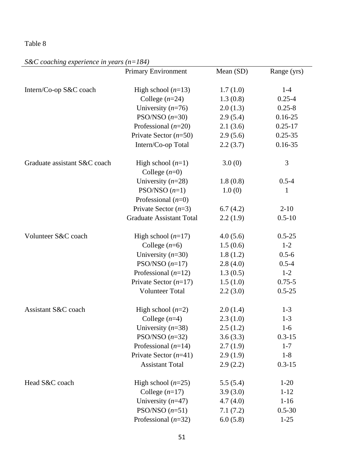## *S&C coaching experience in years (n=184)*

|                              | <b>Primary Environment</b>      | Mean (SD) | Range (yrs) |
|------------------------------|---------------------------------|-----------|-------------|
|                              |                                 |           |             |
| Intern/Co-op S&C coach       | High school $(n=13)$            | 1.7(1.0)  | $1-4$       |
|                              | College $(n=24)$                | 1.3(0.8)  | $0.25 - 4$  |
|                              | University $(n=76)$             | 2.0(1.3)  | $0.25 - 8$  |
|                              | PSO/NSO $(n=30)$                | 2.9(5.4)  | $0.16 - 25$ |
|                              | Professional $(n=20)$           | 2.1(3.6)  | $0.25 - 17$ |
|                              | Private Sector $(n=50)$         | 2.9(5.6)  | $0.25 - 35$ |
|                              | Intern/Co-op Total              | 2.2(3.7)  | $0.16 - 35$ |
| Graduate assistant S&C coach | High school $(n=1)$             | 3.0(0)    | 3           |
|                              | College $(n=0)$                 |           |             |
|                              | University $(n=28)$             | 1.8(0.8)  | $0.5 - 4$   |
|                              | $PSO/NSO (n=1)$                 | 1.0(0)    | 1           |
|                              | Professional $(n=0)$            |           |             |
|                              | Private Sector $(n=3)$          | 6.7(4.2)  | $2 - 10$    |
|                              | <b>Graduate Assistant Total</b> | 2.2(1.9)  | $0.5 - 10$  |
| Volunteer S&C coach          | High school $(n=17)$            | 4.0(5.6)  | $0.5 - 25$  |
|                              | College $(n=6)$                 | 1.5(0.6)  | $1 - 2$     |
|                              | University $(n=30)$             | 1.8(1.2)  | $0.5 - 6$   |
|                              | PSO/NSO $(n=17)$                | 2.8(4.0)  | $0.5 - 4$   |
|                              | Professional $(n=12)$           | 1.3(0.5)  | $1 - 2$     |
|                              | Private Sector $(n=17)$         | 1.5(1.0)  | $0.75 - 5$  |
|                              | <b>Volunteer Total</b>          | 2.2(3.0)  | $0.5 - 25$  |
| Assistant S&C coach          | High school $(n=2)$             | 2.0(1.4)  | $1 - 3$     |
|                              | College $(n=4)$                 | 2.3(1.0)  | $1 - 3$     |
|                              | University $(n=38)$             | 2.5(1.2)  | $1-6$       |
|                              | PSO/NSO $(n=32)$                | 3.6(3.3)  | $0.3 - 15$  |
|                              | Professional $(n=14)$           | 2.7(1.9)  | $1 - 7$     |
|                              | Private Sector $(n=41)$         | 2.9(1.9)  | $1 - 8$     |
|                              | <b>Assistant Total</b>          | 2.9(2.2)  | $0.3 - 15$  |
| Head S&C coach               | High school $(n=25)$            | 5.5(5.4)  | $1-20$      |
|                              | College $(n=17)$                | 3.9(3.0)  | $1 - 12$    |
|                              | University $(n=47)$             | 4.7(4.0)  | $1-16$      |
|                              | PSO/NSO $(n=51)$                | 7.1(7.2)  | $0.5 - 30$  |
|                              | Professional $(n=32)$           | 6.0(5.8)  | $1 - 25$    |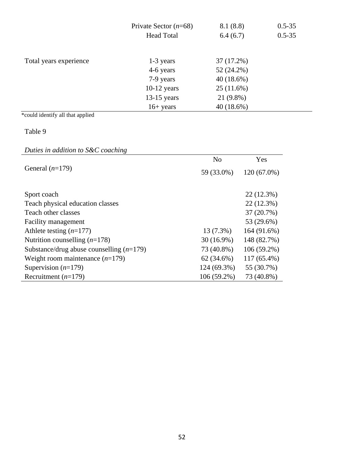|                        | Private Sector $(n=68)$ | 8.1(8.8)     | $0.5 - 35$ |
|------------------------|-------------------------|--------------|------------|
|                        | <b>Head Total</b>       | 6.4(6.7)     | $0.5 - 35$ |
|                        |                         |              |            |
| Total years experience | 1-3 years               | 37 (17.2%)   |            |
|                        | 4-6 years               | $52(24.2\%)$ |            |
|                        | 7-9 years               | 40(18.6%)    |            |
|                        | $10-12$ years           | 25(11.6%)    |            |
|                        | $13-15$ years           | 21 (9.8%)    |            |
|                        | $16+ years$             | 40(18.6%)    |            |

\*could identify all that applied

### Table 9

## *Duties in addition to S&C coaching*

|                                            | N <sub>o</sub> | Yes           |
|--------------------------------------------|----------------|---------------|
| General $(n=179)$                          | 59 (33.0%)     | $120(67.0\%)$ |
|                                            |                |               |
| Sport coach                                |                | 22 (12.3%)    |
| Teach physical education classes           |                | 22 (12.3%)    |
| Teach other classes                        |                | 37 (20.7%)    |
| Facility management                        |                | 53 (29.6%)    |
| Athlete testing $(n=177)$                  | 13 (7.3%)      | 164 (91.6%)   |
| Nutrition counselling $(n=178)$            | $30(16.9\%)$   | 148 (82.7%)   |
| Substance/drug abuse counselling $(n=179)$ | 73 (40.8%)     | $106(59.2\%)$ |
| Weight room maintenance $(n=179)$          | $62(34.6\%)$   | 117 (65.4%)   |
| Supervision $(n=179)$                      | 124 (69.3%)    | 55 (30.7%)    |
| Recruitment $(n=179)$                      | 106 (59.2%)    | 73 (40.8%)    |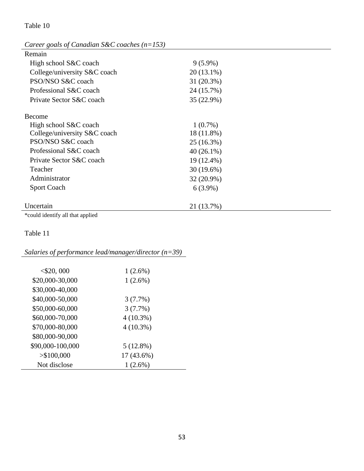| Career goals of Canadian S&C coaches ( $n=153$ ) |              |
|--------------------------------------------------|--------------|
| Remain                                           |              |
| High school S&C coach                            | $9(5.9\%)$   |
| College/university S&C coach                     | $20(13.1\%)$ |
| PSO/NSO S&C coach                                | 31 (20.3%)   |
| Professional S&C coach                           | 24 (15.7%)   |
| Private Sector S&C coach                         | 35 (22.9%)   |
| Become                                           |              |
| High school S&C coach                            | $1(0.7\%)$   |
| College/university S&C coach                     | 18 (11.8%)   |
| PSO/NSO S&C coach                                | 25 (16.3%)   |
| Professional S&C coach                           | $40(26.1\%)$ |
| Private Sector S&C coach                         | 19 (12.4%)   |
| Teacher                                          | $30(19.6\%)$ |
| Administrator                                    | 32 (20.9%)   |
| <b>Sport Coach</b>                               | $6(3.9\%)$   |
| Uncertain                                        | 21 (13.7%)   |
| *could identify all that applied                 |              |

### *Salaries of performance lead/manager/director (n=39)*

| $<$ \$20, 000    | 1(2.6%)     |
|------------------|-------------|
| \$20,000-30,000  | $1(2.6\%)$  |
| \$30,000-40,000  |             |
| \$40,000-50,000  | 3(7.7%)     |
| \$50,000-60,000  | 3(7.7%)     |
| \$60,000-70,000  | $4(10.3\%)$ |
| \$70,000-80,000  | $4(10.3\%)$ |
| \$80,000-90,000  |             |
| \$90,000-100,000 | $5(12.8\%)$ |
| > \$100,000      | 17 (43.6%)  |
| Not disclose     | $1(2.6\%)$  |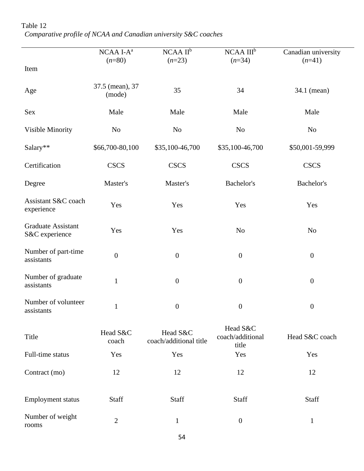|                                             | $NCAA I-Aa$<br>$(n=80)$   | $NCAA$ $II^b$<br>$(n=23)$          | $NCAA$ $IIIb$<br>$(n=34)$             | Canadian university<br>$(n=41)$ |
|---------------------------------------------|---------------------------|------------------------------------|---------------------------------------|---------------------------------|
| Item                                        |                           |                                    |                                       |                                 |
| Age                                         | 37.5 (mean), 37<br>(mode) | 35                                 | 34                                    | 34.1 (mean)                     |
| <b>Sex</b>                                  | Male                      | Male                               | Male                                  | Male                            |
| Visible Minority                            | N <sub>o</sub>            | No                                 | N <sub>o</sub>                        | N <sub>0</sub>                  |
| Salary**                                    | \$66,700-80,100           | \$35,100-46,700                    | \$35,100-46,700                       | \$50,001-59,999                 |
| Certification                               | <b>CSCS</b>               | <b>CSCS</b>                        | <b>CSCS</b>                           | <b>CSCS</b>                     |
| Degree                                      | Master's                  | Master's                           | Bachelor's                            | Bachelor's                      |
| Assistant S&C coach<br>experience           | Yes                       | Yes                                | Yes                                   | Yes                             |
| <b>Graduate Assistant</b><br>S&C experience | Yes                       | Yes                                | N <sub>o</sub>                        | N <sub>o</sub>                  |
| Number of part-time<br>assistants           | $\boldsymbol{0}$          | $\boldsymbol{0}$                   | $\boldsymbol{0}$                      | $\boldsymbol{0}$                |
| Number of graduate<br>assistants            | $\mathbf{1}$              | $\boldsymbol{0}$                   | $\boldsymbol{0}$                      | $\boldsymbol{0}$                |
| Number of volunteer<br>assistants           | $\mathbf 1$               | $\boldsymbol{0}$                   | $\boldsymbol{0}$                      | $\boldsymbol{0}$                |
| Title                                       | Head S&C<br>coach         | Head S&C<br>coach/additional title | Head S&C<br>coach/additional<br>title | Head S&C coach                  |
| Full-time status                            | Yes                       | Yes                                | Yes                                   | Yes                             |
| Contract (mo)                               | 12                        | 12                                 | 12                                    | 12                              |
| <b>Employment status</b>                    | Staff                     | Staff                              | Staff                                 | Staff                           |
| Number of weight<br>rooms                   | $\overline{2}$            | $\mathbf{1}$                       | $\boldsymbol{0}$                      | $\mathbf{1}$                    |

| Table 12 |                                                                 |
|----------|-----------------------------------------------------------------|
|          | Comparative profile of NCAA and Canadian university S&C coaches |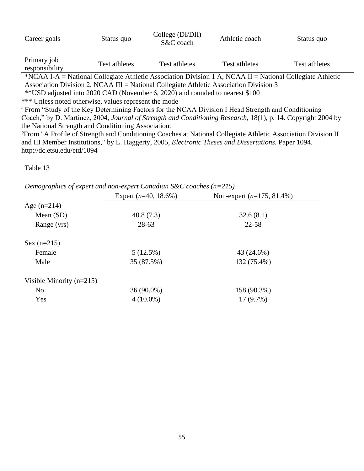| Career goals                                                                                                   | Status quo                                                                                                                | College (DI/DII)<br>S&C coach                                                                             | Athletic coach | Status quo    |
|----------------------------------------------------------------------------------------------------------------|---------------------------------------------------------------------------------------------------------------------------|-----------------------------------------------------------------------------------------------------------|----------------|---------------|
| Primary job<br>responsibility                                                                                  | Test athletes                                                                                                             | Test athletes                                                                                             | Test athletes  | Test athletes |
|                                                                                                                |                                                                                                                           | *NCAA I-A = National Collegiate Athletic Association Division 1 A, NCAA II = National Collegiate Athletic |                |               |
|                                                                                                                |                                                                                                                           | Association Division 2, NCAA III = National Collegiate Athletic Association Division 3                    |                |               |
| ** USD adjusted into 2020 CAD (November 6, 2020) and rounded to nearest \$100                                  |                                                                                                                           |                                                                                                           |                |               |
| *** Unless noted otherwise, values represent the mode                                                          |                                                                                                                           |                                                                                                           |                |               |
| <sup>a</sup> From "Study of the Key Determining Factors for the NCAA Division I Head Strength and Conditioning |                                                                                                                           |                                                                                                           |                |               |
| Coach," by D. Martinez, 2004, Journal of Strength and Conditioning Research, 18(1), p. 14. Copyright 2004 by   |                                                                                                                           |                                                                                                           |                |               |
| the National Strength and Conditioning Association.                                                            |                                                                                                                           |                                                                                                           |                |               |
|                                                                                                                | <sup>b</sup> From "A Profile of Strength and Conditioning Coaches at National Collegiate Athletic Association Division II |                                                                                                           |                |               |
| and III Member Institutions," by L. Haggerty, 2005, <i>Electronic Theses and Dissertations</i> . Paper 1094.   |                                                                                                                           |                                                                                                           |                |               |

http://dc.etsu.edu/etd/1094

*Demographics of expert and non-expert Canadian S&C coaches (n=215)*

|                            | Expert $(n=40, 18.6\%)$ | Non-expert $(n=175, 81.4\%)$ |
|----------------------------|-------------------------|------------------------------|
| Age $(n=214)$              |                         |                              |
| Mean $(SD)$                | 40.8(7.3)               | 32.6(8.1)                    |
| Range (yrs)                | 28-63                   | 22-58                        |
| $Sex (n=215)$              |                         |                              |
| Female                     | 5(12.5%)                | 43 (24.6%)                   |
| Male                       | 35 (87.5%)              | 132 (75.4%)                  |
| Visible Minority $(n=215)$ |                         |                              |
| N <sub>o</sub>             | 36 (90.0%)              | 158 (90.3%)                  |
| Yes                        | $4(10.0\%)$             | 17(9.7%)                     |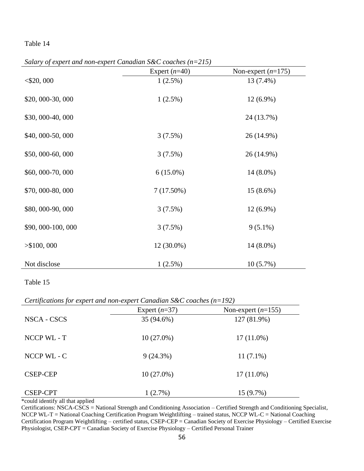*Salary of expert and non-expert Canadian S&C coaches (n=215)*

|                  | Expert $(n=40)$ | Non-expert $(n=175)$ |
|------------------|-----------------|----------------------|
| $<$ \$20,000     | $1(2.5\%)$      | 13 (7.4%)            |
| \$20,000-30,000  | $1(2.5\%)$      | $12(6.9\%)$          |
| \$30,000-40,000  |                 | 24 (13.7%)           |
| \$40,000-50,000  | 3(7.5%)         | 26 (14.9%)           |
| \$50,000-60,000  | 3(7.5%)         | 26 (14.9%)           |
| \$60,000-70,000  | $6(15.0\%)$     | $14(8.0\%)$          |
| \$70,000-80,000  | 7(17.50%)       | $15(8.6\%)$          |
| \$80,000-90,000  | 3(7.5%)         | $12(6.9\%)$          |
| \$90,000-100,000 | 3(7.5%)         | $9(5.1\%)$           |
| > \$100,000      | 12 (30.0%)      | $14(8.0\%)$          |
| Not disclose     | $1(2.5\%)$      | 10(5.7%)             |

### Table 15

*Certifications for expert and non-expert Canadian S&C coaches (n=192)*

|                 | Expert $(n=37)$ | Non-expert $(n=155)$ |
|-----------------|-----------------|----------------------|
| NSCA - CSCS     | 35 (94.6%)      | 127 (81.9%)          |
| NCCP WL - T     | $10(27.0\%)$    | $17(11.0\%)$         |
| NCCP WL - C     | 9(24.3%)        | $11(7.1\%)$          |
| <b>CSEP-CEP</b> | $10(27.0\%)$    | $17(11.0\%)$         |
| <b>CSEP-CPT</b> | 1(2.7%)         | $15(9.7\%)$          |

\*could identify all that applied

Certifications: NSCA-CSCS = National Strength and Conditioning Association – Certified Strength and Conditioning Specialist, NCCP WL-T = National Coaching Certification Program Weightlifting – trained status, NCCP WL-C = National Coaching Certification Program Weightlifting – certified status, CSEP-CEP = Canadian Society of Exercise Physiology – Certified Exercise Physiologist, CSEP-CPT = Canadian Society of Exercise Physiology – Certified Personal Trainer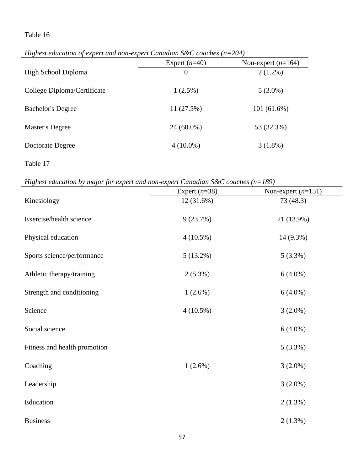|                             | Expert $(n=40)$ | Non-expert $(n=164)$ |
|-----------------------------|-----------------|----------------------|
| High School Diploma         | $\theta$        | $2(1.2\%)$           |
| College Diploma/Certificate | $1(2.5\%)$      | $5(3.0\%)$           |
| <b>Bachelor's Degree</b>    | 11(27.5%)       | 101(61.6%)           |
| Master's Degree             | $24(60.0\%)$    | 53 (32.3%)           |
| Doctorate Degree            | $4(10.0\%)$     | $3(1.8\%)$           |

*Highest education of expert and non-expert Canadian S&C coaches (n=204)*

*Highest education by major for expert and non-expert Canadian S&C coaches (n=189)*

|                              | Expert $(n=38)$ | Non-expert $(n=151)$ |
|------------------------------|-----------------|----------------------|
| Kinesiology                  | 12 (31.6%)      | 73 (48.3)            |
|                              |                 |                      |
| Exercise/health science      | 9(23.7%)        | 21 (13.9%)           |
| Physical education           | $4(10.5\%)$     | 14 (9.3%)            |
|                              |                 |                      |
| Sports science/performance   | $5(13.2\%)$     | 5(3.3%)              |
|                              |                 |                      |
| Athletic therapy/training    | $2(5.3\%)$      | $6(4.0\%)$           |
|                              |                 |                      |
| Strength and conditioning    | $1(2.6\%)$      | $6(4.0\%)$           |
| Science                      | $4(10.5\%)$     | $3(2.0\%)$           |
|                              |                 |                      |
| Social science               |                 | $6(4.0\%)$           |
|                              |                 |                      |
| Fitness and health promotion |                 | 5(3.3%)              |
|                              |                 |                      |
| Coaching                     | $1(2.6\%)$      | $3(2.0\%)$           |
| Leadership                   |                 | $3(2.0\%)$           |
|                              |                 |                      |
| Education                    |                 | $2(1.3\%)$           |
|                              |                 |                      |
| <b>Business</b>              |                 | $2(1.3\%)$           |
|                              |                 |                      |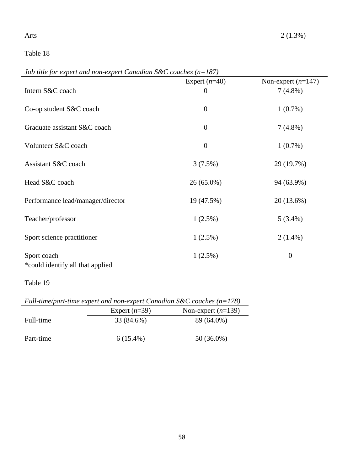| Job title for expert and non-expert Canadian $S&C$ coaches (n=187) |  |
|--------------------------------------------------------------------|--|
|--------------------------------------------------------------------|--|

|                                   | Expert $(n=40)$  | Non-expert $(n=147)$ |
|-----------------------------------|------------------|----------------------|
| Intern S&C coach                  | $\boldsymbol{0}$ | $7(4.8\%)$           |
|                                   |                  |                      |
| Co-op student S&C coach           | $\theta$         | $1(0.7\%)$           |
| Graduate assistant S&C coach      | $\boldsymbol{0}$ | $7(4.8\%)$           |
|                                   |                  |                      |
| Volunteer S&C coach               | $\boldsymbol{0}$ | $1(0.7\%)$           |
|                                   |                  |                      |
| Assistant S&C coach               | 3(7.5%)          | 29 (19.7%)           |
| Head S&C coach                    | $26(65.0\%)$     | 94 (63.9%)           |
|                                   |                  |                      |
| Performance lead/manager/director | 19 (47.5%)       | 20 (13.6%)           |
| Teacher/professor                 | $1(2.5\%)$       | $5(3.4\%)$           |
|                                   |                  |                      |
| Sport science practitioner        | $1(2.5\%)$       | $2(1.4\%)$           |
| Sport coach                       | $1(2.5\%)$       | $\boldsymbol{0}$     |
|                                   |                  |                      |

\*could identify all that applied

|  | Full-time/part-time expert and non-expert Canadian S&C coaches ( $n=178$ ) |
|--|----------------------------------------------------------------------------|
|  |                                                                            |

|           | $\mu$ and three part three expert and non-expert candidation $\sigma \alpha$ couches $(\mu - \mu)$ |                      |  |
|-----------|----------------------------------------------------------------------------------------------------|----------------------|--|
|           | Expert $(n=39)$                                                                                    | Non-expert $(n=139)$ |  |
| Full-time | 33 (84.6%)                                                                                         | 89 (64.0%)           |  |
| Part-time | $6(15.4\%)$                                                                                        | $50(36.0\%)$         |  |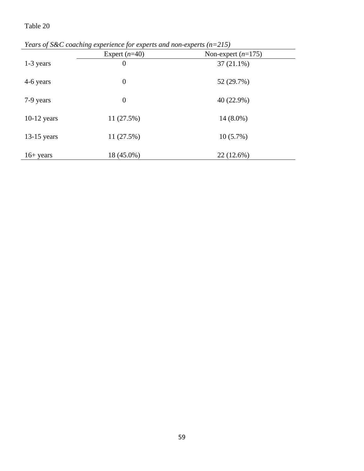| Tears of sec courring experience for experis and non-experis $(n-213)$ |                  |                      |
|------------------------------------------------------------------------|------------------|----------------------|
|                                                                        | Expert $(n=40)$  | Non-expert $(n=175)$ |
| 1-3 years                                                              | $\overline{0}$   | $37(21.1\%)$         |
| 4-6 years                                                              | $\boldsymbol{0}$ | 52 (29.7%)           |
| 7-9 years                                                              | $\theta$         | 40 (22.9%)           |
| $10-12$ years                                                          | 11(27.5%)        | $14(8.0\%)$          |
| $13-15$ years                                                          | 11(27.5%)        | $10(5.7\%)$          |
| $16+ \text{years}$                                                     | 18 (45.0%)       | 22 (12.6%)           |

*Years of S&C coaching experience for experts and non-experts (n=215)*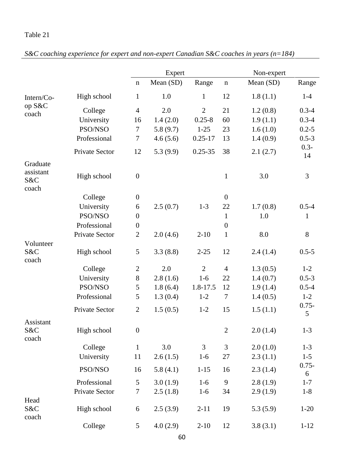| S&C coaching experience for expert and non-expert Canadian S&C coaches in years ( $n=184$ ) |
|---------------------------------------------------------------------------------------------|
|---------------------------------------------------------------------------------------------|

|                           |                       |                  | Expert    |                |                | Non-expert |               |  |
|---------------------------|-----------------------|------------------|-----------|----------------|----------------|------------|---------------|--|
|                           |                       | $\mathbf n$      | Mean (SD) | Range          | $\mathbf n$    | Mean (SD)  | Range         |  |
| Intern/Co-                | High school           | 1                | 1.0       | 1              | 12             | 1.8(1.1)   | $1-4$         |  |
| op S&C<br>coach           | College               | $\overline{4}$   | 2.0       | $\overline{2}$ | 21             | 1.2(0.8)   | $0.3 - 4$     |  |
|                           | University            | 16               | 1.4(2.0)  | $0.25 - 8$     | 60             | 1.9(1.1)   | $0.3 - 4$     |  |
|                           | PSO/NSO               | 7                | 5.8(9.7)  | $1 - 25$       | 23             | 1.6(1.0)   | $0.2 - 5$     |  |
|                           | Professional          | $\tau$           | 4.6(5.6)  | $0.25 - 17$    | 13             | 1.4(0.9)   | $0.5 - 3$     |  |
|                           | <b>Private Sector</b> | 12               | 5.3(9.9)  | $0.25 - 35$    | 38             | 2.1(2.7)   | $0.3 -$<br>14 |  |
| Graduate                  |                       |                  |           |                |                |            |               |  |
| assistant<br>S&C<br>coach | High school           | $\boldsymbol{0}$ |           |                | $\mathbf{1}$   | 3.0        | 3             |  |
|                           | College               | $\boldsymbol{0}$ |           |                | $\overline{0}$ |            |               |  |
|                           | University            | 6                | 2.5(0.7)  | $1 - 3$        | 22             | 1.7(0.8)   | $0.5 - 4$     |  |
|                           | PSO/NSO               | $\boldsymbol{0}$ |           |                | $\mathbf{1}$   | 1.0        | 1             |  |
|                           | Professional          | $\boldsymbol{0}$ |           |                | $\overline{0}$ |            |               |  |
|                           | Private Sector        | $\overline{2}$   | 2.0(4.6)  | $2 - 10$       | $\mathbf{1}$   | 8.0        | 8             |  |
| Volunteer                 |                       |                  |           |                |                |            |               |  |
| S&C<br>coach              | High school           | 5                | 3.3(8.8)  | $2 - 25$       | 12             | 2.4(1.4)   | $0.5 - 5$     |  |
|                           | College               | $\overline{2}$   | 2.0       | $\overline{2}$ | $\overline{4}$ | 1.3(0.5)   | $1 - 2$       |  |
|                           | University            | $8\,$            | 2.8(1.6)  | $1-6$          | 22             | 1.4(0.7)   | $0.5 - 3$     |  |
|                           | PSO/NSO               | 5                | 1.8(6.4)  | 1.8-17.5       | 12             | 1.9(1.4)   | $0.5 - 4$     |  |
|                           | Professional          | 5                | 1.3(0.4)  | $1 - 2$        | $\tau$         | 1.4(0.5)   | $1 - 2$       |  |
|                           | Private Sector        | $\overline{2}$   | 1.5(0.5)  | $1 - 2$        | 15             | 1.5(1.1)   | $0.75 -$<br>5 |  |
| Assistant<br>S&C<br>coach | High school           | $\overline{0}$   |           |                | $\overline{2}$ | 2.0(1.4)   | $1 - 3$       |  |
|                           | College               | $\mathbf{1}$     | 3.0       | 3              | 3              | 2.0(1.0)   | $1 - 3$       |  |
|                           | University            | 11               | 2.6(1.5)  | $1-6$          | 27             | 2.3(1.1)   | $1-5$         |  |
|                           | PSO/NSO               | 16               | 5.8(4.1)  | $1 - 15$       | 16             | 2.3(1.4)   | $0.75 -$<br>6 |  |
|                           | Professional          | 5                | 3.0(1.9)  | $1-6$          | 9              | 2.8(1.9)   | $1 - 7$       |  |
|                           | Private Sector        | $\tau$           | 2.5(1.8)  | $1-6$          | 34             | 2.9(1.9)   | $1-8$         |  |
| Head                      |                       |                  |           |                |                |            |               |  |
| S&C<br>coach              | High school           | 6                | 2.5(3.9)  | $2 - 11$       | 19             | 5.3(5.9)   | $1 - 20$      |  |
|                           | College               | $5\overline{)}$  | 4.0(2.9)  | $2-10$         | 12             | 3.8(3.1)   | $1 - 12$      |  |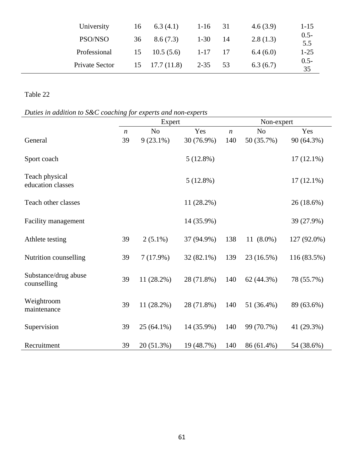| University     | 16 | 6.3(4.1)              | $1-16$ 31 |      | 4.6(3.9) | $1 - 15$       |
|----------------|----|-----------------------|-----------|------|----------|----------------|
| PSO/NSO        | 36 | 8.6(7.3)              | $1-30$ 14 |      | 2.8(1.3) | $0.5 -$<br>5.5 |
| Professional   |    | $15 \t 10.5(5.6)$     | $1 - 17$  | - 17 | 6.4(6.0) | $1 - 25$       |
| Private Sector |    | $15 \quad 17.7(11.8)$ | $2 - 35$  | 53   | 6.3(6.7) | $0.5 -$<br>35  |

*Duties in addition to S&C coaching for experts and non-experts*

|                                     |                  | Expert         |              |                  | Non-expert     |              |  |  |
|-------------------------------------|------------------|----------------|--------------|------------------|----------------|--------------|--|--|
|                                     | $\boldsymbol{n}$ | N <sub>o</sub> | Yes          | $\boldsymbol{n}$ | N <sub>o</sub> | Yes          |  |  |
| General                             | 39               | $9(23.1\%)$    | 30 (76.9%)   | 140              | 50 (35.7%)     | 90 (64.3%)   |  |  |
| Sport coach                         |                  |                | 5(12.8%)     |                  |                | $17(12.1\%)$ |  |  |
| Teach physical<br>education classes |                  |                | 5(12.8%)     |                  |                | $17(12.1\%)$ |  |  |
| Teach other classes                 |                  |                | $11(28.2\%)$ |                  |                | 26 (18.6%)   |  |  |
| Facility management                 |                  |                | 14 (35.9%)   |                  |                | 39 (27.9%)   |  |  |
| Athlete testing                     | 39               | $2(5.1\%)$     | 37 (94.9%)   | 138              | 11 $(8.0\%)$   | 127 (92.0%)  |  |  |
| Nutrition counselling               | 39               | 7(17.9%)       | 32 (82.1%)   | 139              | 23 (16.5%)     | 116 (83.5%)  |  |  |
| Substance/drug abuse<br>counselling | 39               | $11(28.2\%)$   | 28 (71.8%)   | 140              | 62 (44.3%)     | 78 (55.7%)   |  |  |
| Weightroom<br>maintenance           | 39               | $11(28.2\%)$   | 28 (71.8%)   | 140              | 51 (36.4%)     | 89 (63.6%)   |  |  |
| Supervision                         | 39               | $25(64.1\%)$   | 14 (35.9%)   | 140              | 99 (70.7%)     | 41 (29.3%)   |  |  |
| Recruitment                         | 39               | 20 (51.3%)     | 19 (48.7%)   | 140              | 86 (61.4%)     | 54 (38.6%)   |  |  |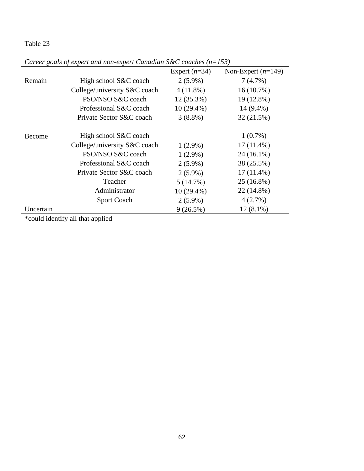| Ō.        |                              | Expert $(n=34)$ | Non-Expert $(n=149)$ |
|-----------|------------------------------|-----------------|----------------------|
| Remain    | High school S&C coach        | $2(5.9\%)$      | 7(4.7%)              |
|           | College/university S&C coach | $4(11.8\%)$     | 16(10.7%)            |
|           | PSO/NSO S&C coach            | $12(35.3\%)$    | 19 (12.8%)           |
|           | Professional S&C coach       | $10(29.4\%)$    | 14 (9.4%)            |
|           | Private Sector S&C coach     | $3(8.8\%)$      | 32(21.5%)            |
|           |                              |                 |                      |
| Become    | High school S&C coach        |                 | $1(0.7\%)$           |
|           | College/university S&C coach | $1(2.9\%)$      | $17(11.4\%)$         |
|           | PSO/NSO S&C coach            | $1(2.9\%)$      | $24(16.1\%)$         |
|           | Professional S&C coach       | $2(5.9\%)$      | 38 (25.5%)           |
|           | Private Sector S&C coach     | $2(5.9\%)$      | $17(11.4\%)$         |
|           | Teacher                      | 5(14.7%)        | 25 (16.8%)           |
|           | Administrator                | $10(29.4\%)$    | 22 (14.8%)           |
|           | <b>Sport Coach</b>           | $2(5.9\%)$      | 4(2.7%)              |
| Uncertain |                              | 9(26.5%)        | $12(8.1\%)$          |

*Career goals of expert and non-expert Canadian S&C coaches (n=153)*

\*could identify all that applied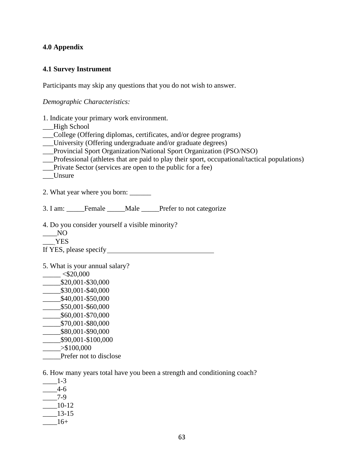### **4.0 Appendix**

#### **4.1 Survey Instrument**

Participants may skip any questions that you do not wish to answer.

*Demographic Characteristics:*

- 1. Indicate your primary work environment.
- \_\_\_High School
- \_\_\_College (Offering diplomas, certificates, and/or degree programs)
- \_\_\_University (Offering undergraduate and/or graduate degrees)
- \_\_\_Provincial Sport Organization/National Sport Organization (PSO/NSO)
- \_\_\_Professional (athletes that are paid to play their sport, occupational/tactical populations)
- \_\_\_Private Sector (services are open to the public for a fee)
- \_\_\_Unsure
- 2. What year where you born:

3. I am: \_\_\_\_\_Female \_\_\_\_\_Male \_\_\_\_\_Prefer to not categorize

- 4. Do you consider yourself a visible minority?
- $\overline{N}$
- \_\_\_ YES

If YES, please specify

- 5. What is your annual salary?
- $-$  <\$20,000  $\frac{\$20,001 - $30,000}{}$  $\frac{\$30,001 - $40,000}{}$ \_\_\_\_\_\$40,001-\$50,000 \_\_\_\_\_\$50,001-\$60,000 \_\_\_\_\_\$60,001-\$70,000 \_\_\_\_\_\$70,001-\$80,000 \_\_\_\_\_\$80,001-\$90,000 \_\_\_\_\_\$90,001-\$100,000  $> $100,000$ Prefer not to disclose

6. How many years total have you been a strength and conditioning coach?

- \_\_\_\_1-3
- $4-6$
- \_\_\_\_7-9
- \_\_\_\_10-12
- \_\_\_\_13-15
- $16+$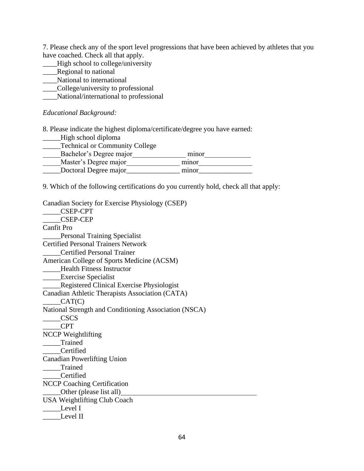7. Please check any of the sport level progressions that have been achieved by athletes that you have coached. Check all that apply.

- \_\_\_\_High school to college/university
- **\_\_\_\_Regional to national**
- \_\_\_\_National to international
- \_\_\_\_College/university to professional
- National/international to professional

### *Educational Background:*

8. Please indicate the highest diploma/certificate/degree you have earned:

\_\_\_\_\_High school diploma

| Technical or Community College |       |
|--------------------------------|-------|
| Bachelor's Degree major        | minor |
| Master's Degree major          | minor |
| Doctoral Degree major          | minor |

9. Which of the following certifications do you currently hold, check all that apply:

| Canadian Society for Exercise Physiology (CSEP)       |
|-------------------------------------------------------|
| <b>CSEP-CPT</b>                                       |
| <b>CSEP-CEP</b>                                       |
| <b>Canfit Pro</b>                                     |
| <b>Personal Training Specialist</b>                   |
| <b>Certified Personal Trainers Network</b>            |
| <b>Certified Personal Trainer</b>                     |
| American College of Sports Medicine (ACSM)            |
| Health Fitness Instructor                             |
| <b>Exercise Specialist</b>                            |
| Registered Clinical Exercise Physiologist             |
| Canadian Athletic Therapists Association (CATA)       |
| CAT(C)                                                |
| National Strength and Conditioning Association (NSCA) |
| <b>CSCS</b>                                           |
| <b>CPT</b>                                            |
| <b>NCCP</b> Weightlifting                             |
| Trained                                               |
| Certified                                             |
| <b>Canadian Powerlifting Union</b>                    |
| ___Trained                                            |
| Certified                                             |
| NCCP Coaching Certification                           |
| Other (please list all)                               |
| <b>USA Weightlifting Club Coach</b>                   |
| Level I                                               |
| Level II                                              |
|                                                       |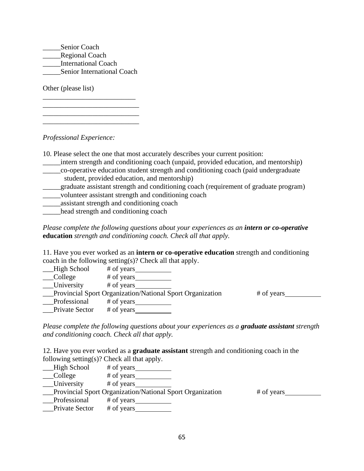\_\_\_\_\_Senior Coach Regional Coach \_\_\_\_\_International Coach \_\_\_\_\_Senior International Coach

\_\_\_\_\_\_\_\_\_\_\_\_\_\_\_\_\_\_\_\_\_\_\_\_\_\_ \_\_\_\_\_\_\_\_\_\_\_\_\_\_\_\_\_\_\_\_\_\_\_\_\_\_\_ \_\_\_\_\_\_\_\_\_\_\_\_\_\_\_\_\_\_\_\_\_\_\_\_\_\_\_ \_\_\_\_\_\_\_\_\_\_\_\_\_\_\_\_\_\_\_\_\_\_\_\_\_\_\_

Other (please list)

*Professional Experience:*

- 10. Please select the one that most accurately describes your current position:
- \_\_\_\_\_intern strength and conditioning coach (unpaid, provided education, and mentorship)
- \_\_\_\_\_co-operative education student strength and conditioning coach (paid undergraduate student, provided education, and mentorship)
- \_\_\_\_\_graduate assistant strength and conditioning coach (requirement of graduate program) \_\_\_\_\_volunteer assistant strength and conditioning coach

\_\_\_\_\_assistant strength and conditioning coach

\_\_\_\_\_head strength and conditioning coach

*Please complete the following questions about your experiences as an intern or co-operative* **education** *strength and conditioning coach. Check all that apply.*

11. Have you ever worked as an **intern or co-operative education** strength and conditioning coach in the following setting(s)? Check all that apply.

| High School       | $#$ of years                                                     |            |
|-------------------|------------------------------------------------------------------|------------|
| College           | # of years                                                       |            |
| <b>University</b> | # of years                                                       |            |
|                   | <b>Provincial Sport Organization/National Sport Organization</b> | # of years |
| Professional      | # of years                                                       |            |
| Private Sector    | # of years                                                       |            |

*Please complete the following questions about your experiences as a graduate assistant strength and conditioning coach. Check all that apply.*

12. Have you ever worked as a **graduate assistant** strength and conditioning coach in the following setting(s)? Check all that apply.

- \_\_\_High School # of years
- \_\_\_College # of years

University # of years

\_\_\_Provincial Sport Organization/National Sport Organization # of years

Professional # of years \_\_Private Sector # of years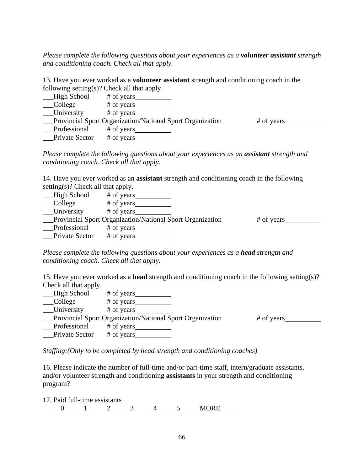*Please complete the following questions about your experiences as a volunteer assistant strength and conditioning coach. Check all that apply.*

13. Have you ever worked as a **volunteer assistant** strength and conditioning coach in the following setting(s)? Check all that apply.

| High School    | # of years                                                |            |
|----------------|-----------------------------------------------------------|------------|
| <b>College</b> | # of years                                                |            |
| University     | # of years                                                |            |
|                | Provincial Sport Organization/National Sport Organization | # of years |
| Professional   | # of years                                                |            |
| Private Sector | # of years                                                |            |

*Please complete the following questions about your experiences as an assistant strength and conditioning coach. Check all that apply.*

14. Have you ever worked as an **assistant** strength and conditioning coach in the following setting(s)? Check all that apply.

| High School    | # of years                                                  |            |
|----------------|-------------------------------------------------------------|------------|
| College        | # of years                                                  |            |
| University     | # of years                                                  |            |
|                | __Provincial Sport Organization/National Sport Organization | # of years |
| Professional   | # of years                                                  |            |
| Private Sector | # of years                                                  |            |

*Please complete the following questions about your experiences as a head strength and conditioning coach. Check all that apply.*

15. Have you ever worked as a **head** strength and conditioning coach in the following setting(s)? Check all that apply.

| __High School         | # of years $\overline{\phantom{a}}$                              |            |
|-----------------------|------------------------------------------------------------------|------------|
| __College             | # of years                                                       |            |
| __University          | # of years                                                       |            |
|                       | <b>Provincial Sport Organization/National Sport Organization</b> | # of years |
| Professional          | # of years $\frac{1}{\sqrt{1-\frac{1}{2}}}\right.$               |            |
| <b>Private Sector</b> | # of years                                                       |            |

*Staffing:(Only to be completed by head strength and conditioning coaches)*

16. Please indicate the number of full-time and/or part-time staff, intern/graduate assistants, and/or volunteer strength and conditioning **assistants** in your strength and conditioning program?

17. Paid full-time assistants  $\underline{\hspace{1cm}} 0 \underline{\hspace{1cm}} 1 \underline{\hspace{1cm}} 2 \underline{\hspace{1cm}} 3 \underline{\hspace{1cm}} 4 \underline{\hspace{1cm}} 5 \underline{\hspace{1cm}} 00RE \underline{\hspace{1cm}}$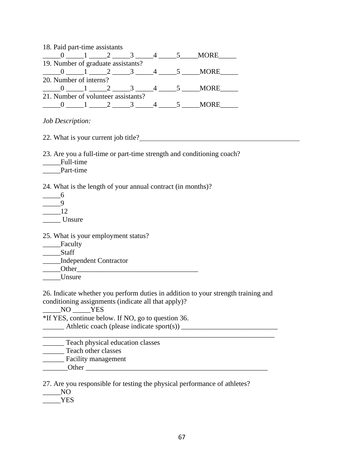| 18. Paid part-time assistants      |  |  |                                     |   |             |  |
|------------------------------------|--|--|-------------------------------------|---|-------------|--|
|                                    |  |  |                                     |   | <b>MORE</b> |  |
| 19. Number of graduate assistants? |  |  |                                     |   |             |  |
|                                    |  |  |                                     |   | <b>MORE</b> |  |
| 20. Number of interns?             |  |  |                                     |   |             |  |
|                                    |  |  |                                     | 4 | <b>MORE</b> |  |
|                                    |  |  | 21. Number of volunteer assistants? |   |             |  |
|                                    |  |  |                                     |   | <b>MORE</b> |  |
|                                    |  |  |                                     |   |             |  |

*Job Description:*

22. What is your current job title?

23. Are you a full-time or part-time strength and conditioning coach?

\_\_\_\_\_Full-time

Part-time

24. What is the length of your annual contract (in months)?

| h      |
|--------|
| ų      |
| 12     |
| Unsure |

25. What is your employment status?

| ≓acuitv |
|---------|
|---------|

\_\_\_\_\_Staff \_\_\_\_\_Independent Contractor Other \_\_\_\_\_Unsure

26. Indicate whether you perform duties in addition to your strength training and conditioning assignments (indicate all that apply)?

NO YES \*If YES, continue below. If NO, go to question 36. \_\_\_\_\_\_\_ Athletic coach (please indicate sport(s)) \_\_\_\_\_\_\_\_\_\_\_\_\_\_\_\_\_\_\_\_\_\_\_\_\_\_\_\_\_\_ \_\_\_\_\_\_ Teach physical education classes **Teach other classes** \_\_\_\_\_\_ Facility management

\_\_\_\_\_\_\_Other \_\_\_\_\_\_\_\_\_\_\_\_\_\_\_\_\_\_\_\_\_\_\_\_\_\_\_\_\_\_\_\_\_\_\_\_\_\_\_\_\_\_\_\_\_\_\_\_\_\_\_

27. Are you responsible for testing the physical performance of athletes?

\_\_\_\_\_NO

\_\_\_\_\_YES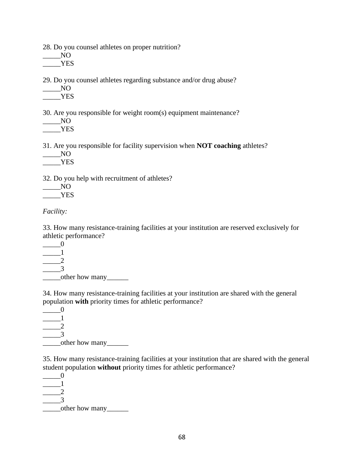28. Do you counsel athletes on proper nutrition?

 $\equiv$  NO YES

29. Do you counsel athletes regarding substance and/or drug abuse?

| $27.$ DV yuu |
|--------------|
| NO           |

\_\_\_\_\_YES

30. Are you responsible for weight room(s) equipment maintenance?

 $N$ O \_\_\_\_\_YES

31. Are you responsible for facility supervision when **NOT coaching** athletes?

\_\_\_\_\_NO \_\_\_\_\_YES

32. Do you help with recruitment of athletes?

 $\_\_$  NO \_\_\_\_\_YES

*Facility:*

33. How many resistance-training facilities at your institution are reserved exclusively for athletic performance?

 $\_\_0$  $\blacksquare$  $\overline{\phantom{a}}$ \_\_\_\_\_3 \_\_\_\_\_other how many\_\_\_\_\_\_

34. How many resistance-training facilities at your institution are shared with the general population **with** priority times for athletic performance?

 $\_\_0$  $\blacksquare$  $\frac{2}{2}$ \_\_\_\_\_3 other how many

35. How many resistance-training facilities at your institution that are shared with the general student population **without** priority times for athletic performance?

 $\_\_0$  $\blacksquare$  $\overline{2}$ \_\_\_\_\_3 \_\_\_\_\_other how many\_\_\_\_\_\_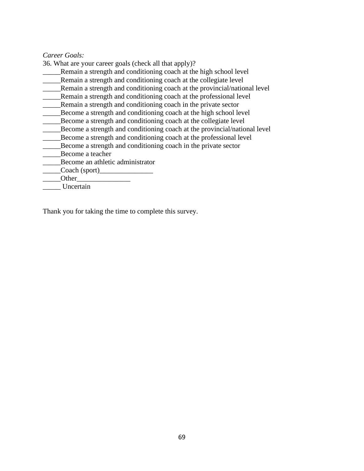#### *Career Goals:*

36. What are your career goals (check all that apply)?

\_\_\_\_\_Remain a strength and conditioning coach at the high school level

Remain a strength and conditioning coach at the collegiate level

\_\_\_\_\_Remain a strength and conditioning coach at the provincial/national level

\_\_\_\_\_Remain a strength and conditioning coach at the professional level

\_\_\_\_\_Remain a strength and conditioning coach in the private sector

Become a strength and conditioning coach at the high school level

Become a strength and conditioning coach at the collegiate level

\_\_\_\_\_Become a strength and conditioning coach at the provincial/national level

\_\_\_\_\_Become a strength and conditioning coach at the professional level

\_\_\_\_\_Become a strength and conditioning coach in the private sector

\_\_\_\_\_Become a teacher

\_\_\_\_\_Become an athletic administrator

Coach (sport)

Other<sub>2</sub>

\_\_\_\_\_ Uncertain

Thank you for taking the time to complete this survey.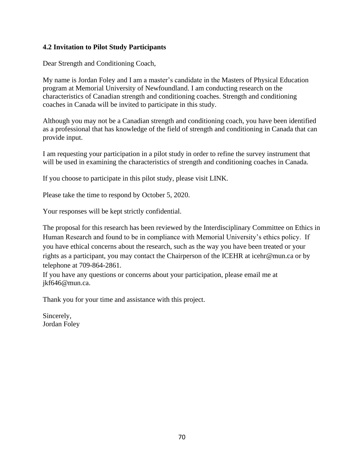## **4.2 Invitation to Pilot Study Participants**

Dear Strength and Conditioning Coach,

My name is Jordan Foley and I am a master's candidate in the Masters of Physical Education program at Memorial University of Newfoundland. I am conducting research on the characteristics of Canadian strength and conditioning coaches. Strength and conditioning coaches in Canada will be invited to participate in this study.

Although you may not be a Canadian strength and conditioning coach, you have been identified as a professional that has knowledge of the field of strength and conditioning in Canada that can provide input.

I am requesting your participation in a pilot study in order to refine the survey instrument that will be used in examining the characteristics of strength and conditioning coaches in Canada.

If you choose to participate in this pilot study, please visit LINK.

Please take the time to respond by October 5, 2020.

Your responses will be kept strictly confidential.

The proposal for this research has been reviewed by the Interdisciplinary Committee on Ethics in Human Research and found to be in compliance with Memorial University's ethics policy. If you have ethical concerns about the research, such as the way you have been treated or your rights as a participant, you may contact the Chairperson of the ICEHR at icehr@mun.ca or by telephone at 709-864-2861.

If you have any questions or concerns about your participation, please email me at jkf646@mun.ca.

Thank you for your time and assistance with this project.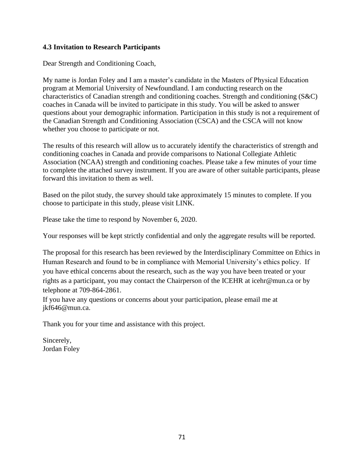## **4.3 Invitation to Research Participants**

Dear Strength and Conditioning Coach,

My name is Jordan Foley and I am a master's candidate in the Masters of Physical Education program at Memorial University of Newfoundland. I am conducting research on the characteristics of Canadian strength and conditioning coaches. Strength and conditioning (S&C) coaches in Canada will be invited to participate in this study. You will be asked to answer questions about your demographic information. Participation in this study is not a requirement of the Canadian Strength and Conditioning Association (CSCA) and the CSCA will not know whether you choose to participate or not.

The results of this research will allow us to accurately identify the characteristics of strength and conditioning coaches in Canada and provide comparisons to National Collegiate Athletic Association (NCAA) strength and conditioning coaches. Please take a few minutes of your time to complete the attached survey instrument. If you are aware of other suitable participants, please forward this invitation to them as well.

Based on the pilot study, the survey should take approximately 15 minutes to complete. If you choose to participate in this study, please visit LINK.

Please take the time to respond by November 6, 2020.

Your responses will be kept strictly confidential and only the aggregate results will be reported.

The proposal for this research has been reviewed by the Interdisciplinary Committee on Ethics in Human Research and found to be in compliance with Memorial University's ethics policy. If you have ethical concerns about the research, such as the way you have been treated or your rights as a participant, you may contact the Chairperson of the ICEHR at icehr@mun.ca or by telephone at 709-864-2861.

If you have any questions or concerns about your participation, please email me at jkf646@mun.ca.

Thank you for your time and assistance with this project.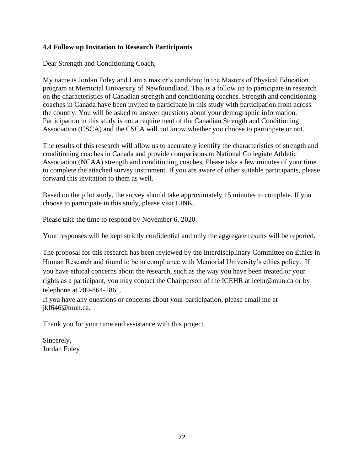# **4.4 Follow up Invitation to Research Participants**

Dear Strength and Conditioning Coach,

My name is Jordan Foley and I am a master's candidate in the Masters of Physical Education program at Memorial University of Newfoundland. This is a follow up to participate in research on the characteristics of Canadian strength and conditioning coaches. Strength and conditioning coaches in Canada have been invited to participate in this study with participation from across the country. You will be asked to answer questions about your demographic information. Participation in this study is not a requirement of the Canadian Strength and Conditioning Association (CSCA) and the CSCA will not know whether you choose to participate or not.

The results of this research will allow us to accurately identify the characteristics of strength and conditioning coaches in Canada and provide comparisons to National Collegiate Athletic Association (NCAA) strength and conditioning coaches. Please take a few minutes of your time to complete the attached survey instrument. If you are aware of other suitable participants, please forward this invitation to them as well.

Based on the pilot study, the survey should take approximately 15 minutes to complete. If you choose to participate in this study, please visit LINK.

Please take the time to respond by November 6, 2020.

Your responses will be kept strictly confidential and only the aggregate results will be reported.

The proposal for this research has been reviewed by the Interdisciplinary Committee on Ethics in Human Research and found to be in compliance with Memorial University's ethics policy. If you have ethical concerns about the research, such as the way you have been treated or your rights as a participant, you may contact the Chairperson of the ICEHR at icehr@mun.ca or by telephone at 709-864-2861.

If you have any questions or concerns about your participation, please email me at jkf646@mun.ca.

Thank you for your time and assistance with this project.